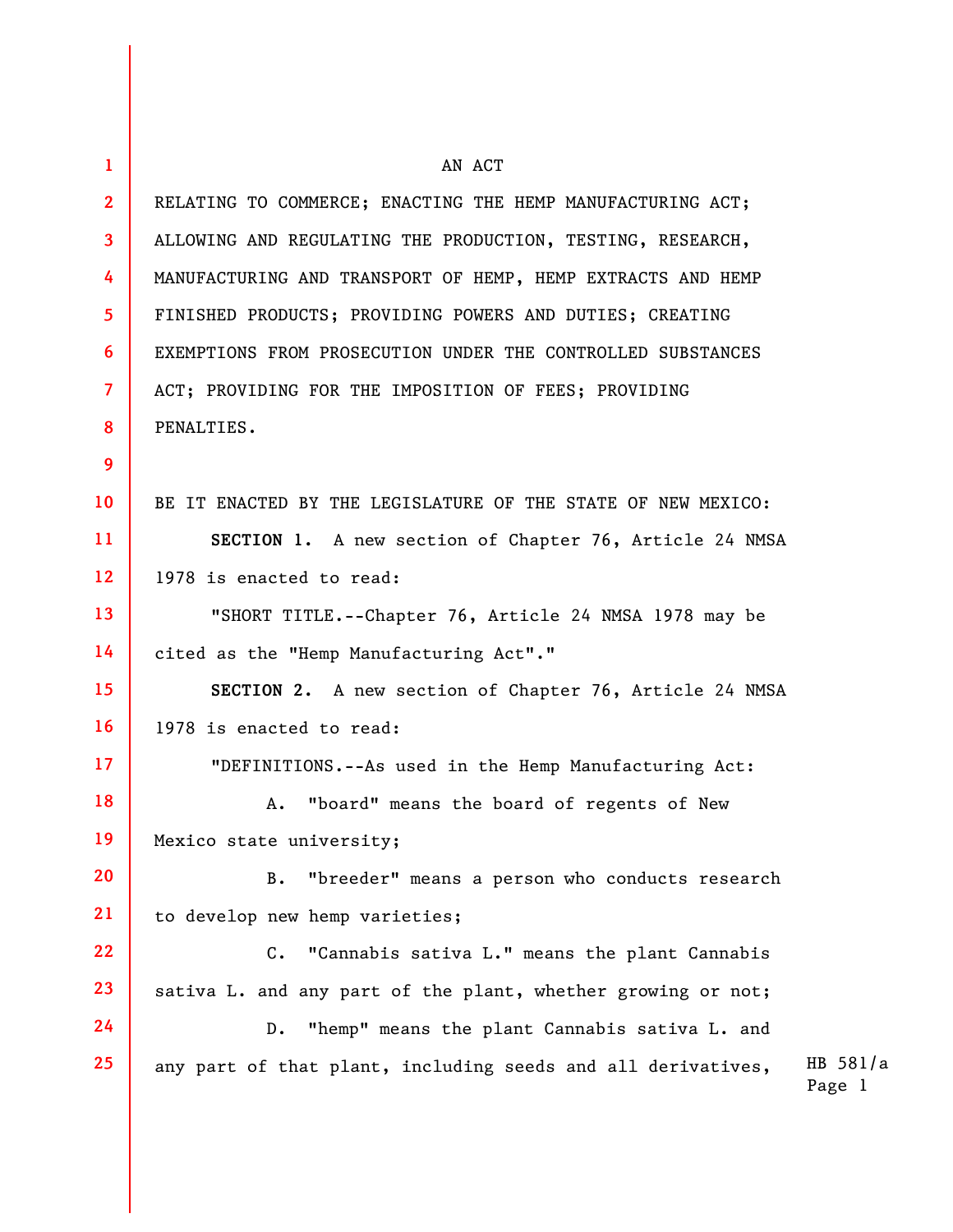| 1               | AN ACT                                                       |                    |
|-----------------|--------------------------------------------------------------|--------------------|
| $\mathbf{2}$    | RELATING TO COMMERCE; ENACTING THE HEMP MANUFACTURING ACT;   |                    |
| $\mathbf{3}$    | ALLOWING AND REGULATING THE PRODUCTION, TESTING, RESEARCH,   |                    |
| 4               | MANUFACTURING AND TRANSPORT OF HEMP, HEMP EXTRACTS AND HEMP  |                    |
| 5 <sup>1</sup>  | FINISHED PRODUCTS; PROVIDING POWERS AND DUTIES; CREATING     |                    |
| 6               | EXEMPTIONS FROM PROSECUTION UNDER THE CONTROLLED SUBSTANCES  |                    |
| $\overline{7}$  | ACT; PROVIDING FOR THE IMPOSITION OF FEES; PROVIDING         |                    |
| 8               | PENALTIES.                                                   |                    |
| 9               |                                                              |                    |
| 10 <sup>°</sup> | BE IT ENACTED BY THE LEGISLATURE OF THE STATE OF NEW MEXICO: |                    |
| 11              | SECTION 1. A new section of Chapter 76, Article 24 NMSA      |                    |
| 12 <sup>2</sup> | 1978 is enacted to read:                                     |                    |
| 13              | "SHORT TITLE.--Chapter 76, Article 24 NMSA 1978 may be       |                    |
| 14              | cited as the "Hemp Manufacturing Act"."                      |                    |
| 15 <sub>1</sub> | SECTION 2. A new section of Chapter 76, Article 24 NMSA      |                    |
| 16              | 1978 is enacted to read:                                     |                    |
| 17 <sup>2</sup> | "DEFINITIONS.--As used in the Hemp Manufacturing Act:        |                    |
| 18              | "board" means the board of regents of New<br>Α.              |                    |
| 19              | Mexico state university;                                     |                    |
| 20              | "breeder" means a person who conducts research<br><b>B.</b>  |                    |
| 21              | to develop new hemp varieties;                               |                    |
| 22              | $C$ .<br>"Cannabis sativa L." means the plant Cannabis       |                    |
| 23              | sativa L. and any part of the plant, whether growing or not; |                    |
| 24              | "hemp" means the plant Cannabis sativa L. and<br>$D$ .       |                    |
| 25              | any part of that plant, including seeds and all derivatives, | HB 581/a<br>Page 1 |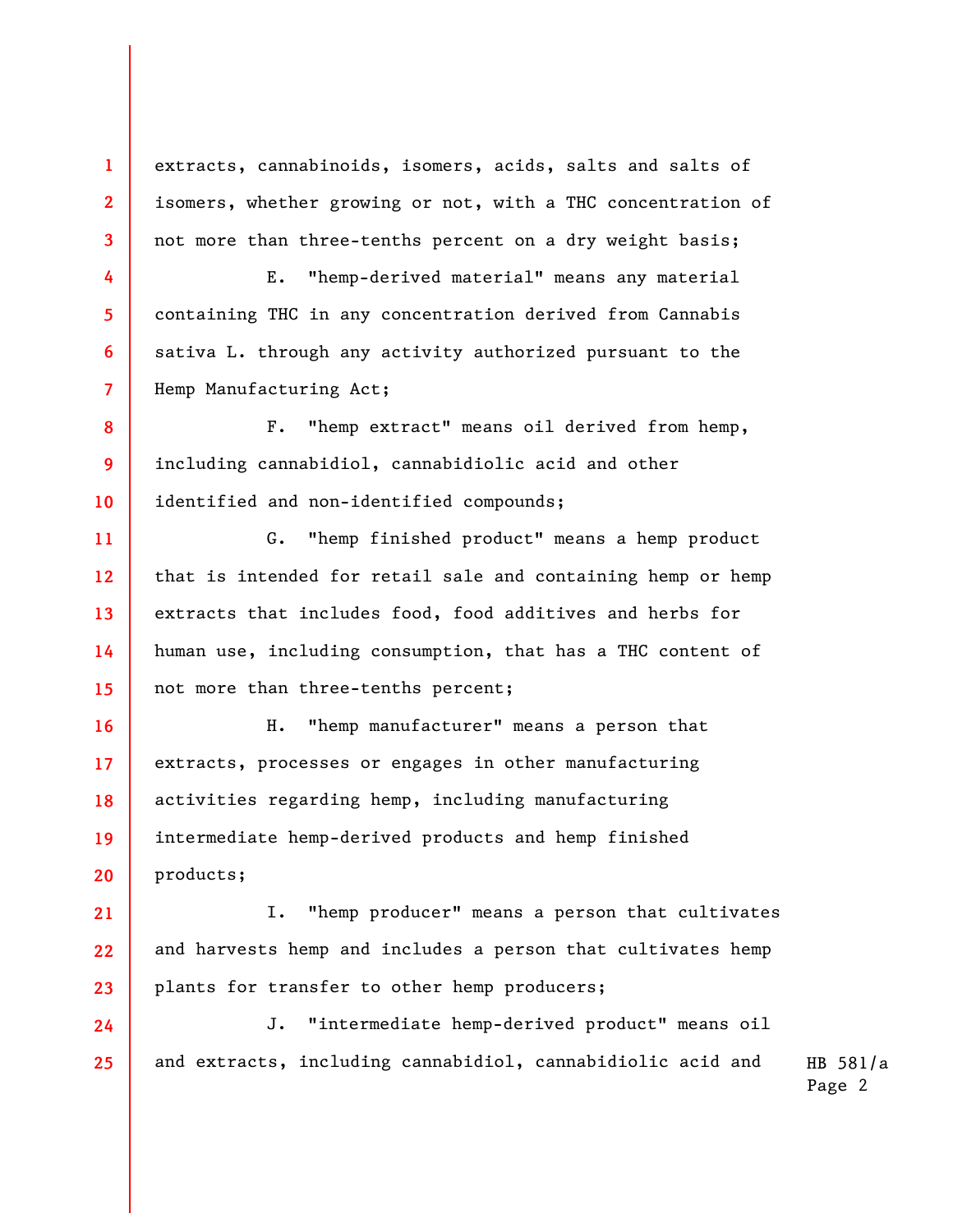extracts, cannabinoids, isomers, acids, salts and salts of isomers, whether growing or not, with a THC concentration of not more than three-tenths percent on a dry weight basis;

**1** 

**2** 

**3** 

**4** 

**5** 

**6** 

**7** 

**21** 

E. "hemp-derived material" means any material containing THC in any concentration derived from Cannabis sativa L. through any activity authorized pursuant to the Hemp Manufacturing Act;

**8 9 10**  F. "hemp extract" means oil derived from hemp, including cannabidiol, cannabidiolic acid and other identified and non-identified compounds;

**11 12 13 14 15**  G. "hemp finished product" means a hemp product that is intended for retail sale and containing hemp or hemp extracts that includes food, food additives and herbs for human use, including consumption, that has a THC content of not more than three-tenths percent;

**16 17 18 19 20**  H. "hemp manufacturer" means a person that extracts, processes or engages in other manufacturing activities regarding hemp, including manufacturing intermediate hemp-derived products and hemp finished products;

**22 23**  I. "hemp producer" means a person that cultivates and harvests hemp and includes a person that cultivates hemp plants for transfer to other hemp producers;

**24 25**  J. "intermediate hemp-derived product" means oil and extracts, including cannabidiol, cannabidiolic acid and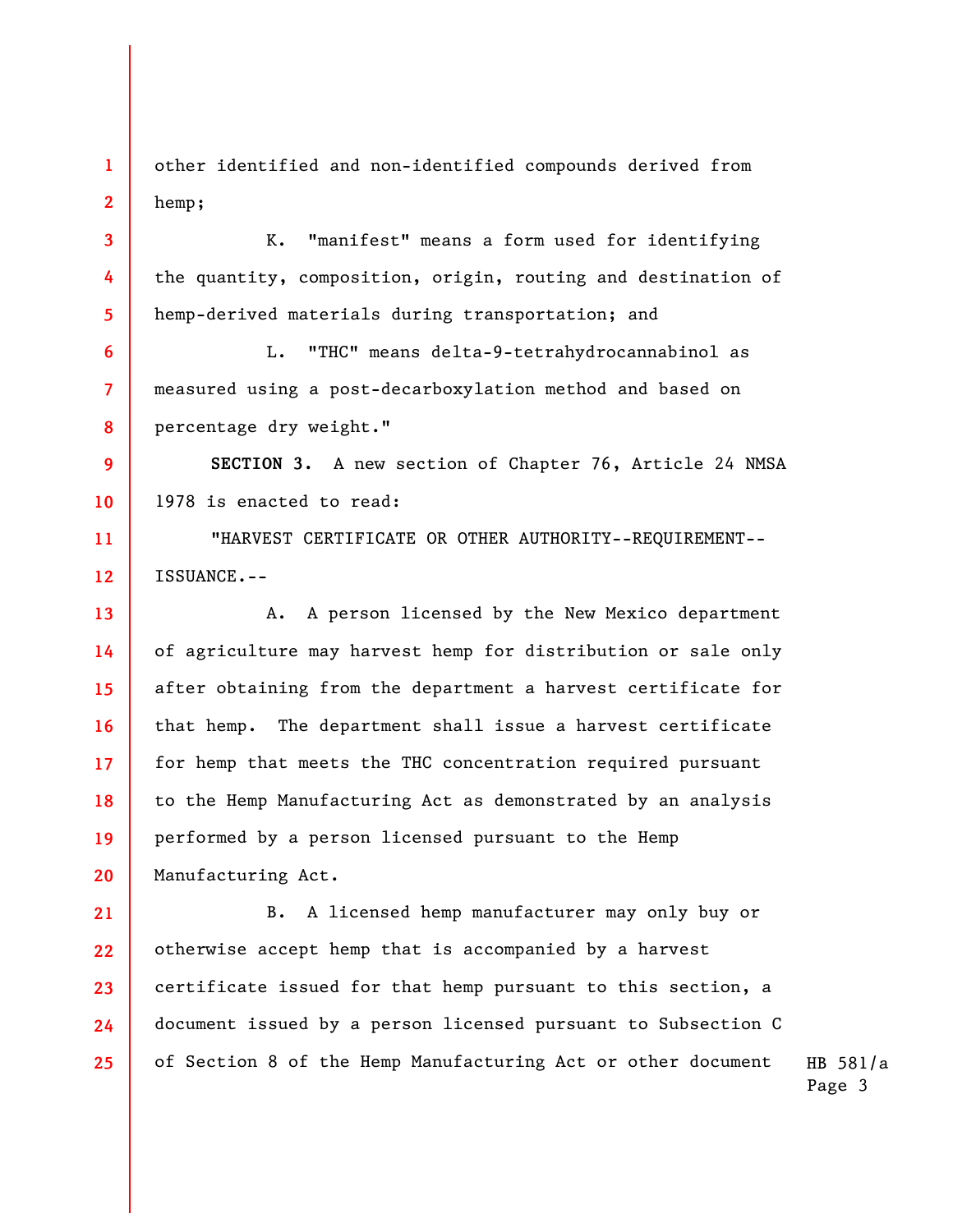**1 2**  other identified and non-identified compounds derived from hemp;

**3** 

**4** 

**5** 

**6** 

**7** 

**8** 

K. "manifest" means a form used for identifying the quantity, composition, origin, routing and destination of hemp-derived materials during transportation; and

L. "THC" means delta-9-tetrahydrocannabinol as measured using a post-decarboxylation method and based on percentage dry weight."

**9 10 SECTION 3.** A new section of Chapter 76, Article 24 NMSA 1978 is enacted to read:

**11 12**  "HARVEST CERTIFICATE OR OTHER AUTHORITY--REQUIREMENT-- ISSUANCE.--

**13 14 15 16 17 18 19 20**  A. A person licensed by the New Mexico department of agriculture may harvest hemp for distribution or sale only after obtaining from the department a harvest certificate for that hemp. The department shall issue a harvest certificate for hemp that meets the THC concentration required pursuant to the Hemp Manufacturing Act as demonstrated by an analysis performed by a person licensed pursuant to the Hemp Manufacturing Act.

**21 22 23 24 25**  B. A licensed hemp manufacturer may only buy or otherwise accept hemp that is accompanied by a harvest certificate issued for that hemp pursuant to this section, a document issued by a person licensed pursuant to Subsection C of Section 8 of the Hemp Manufacturing Act or other document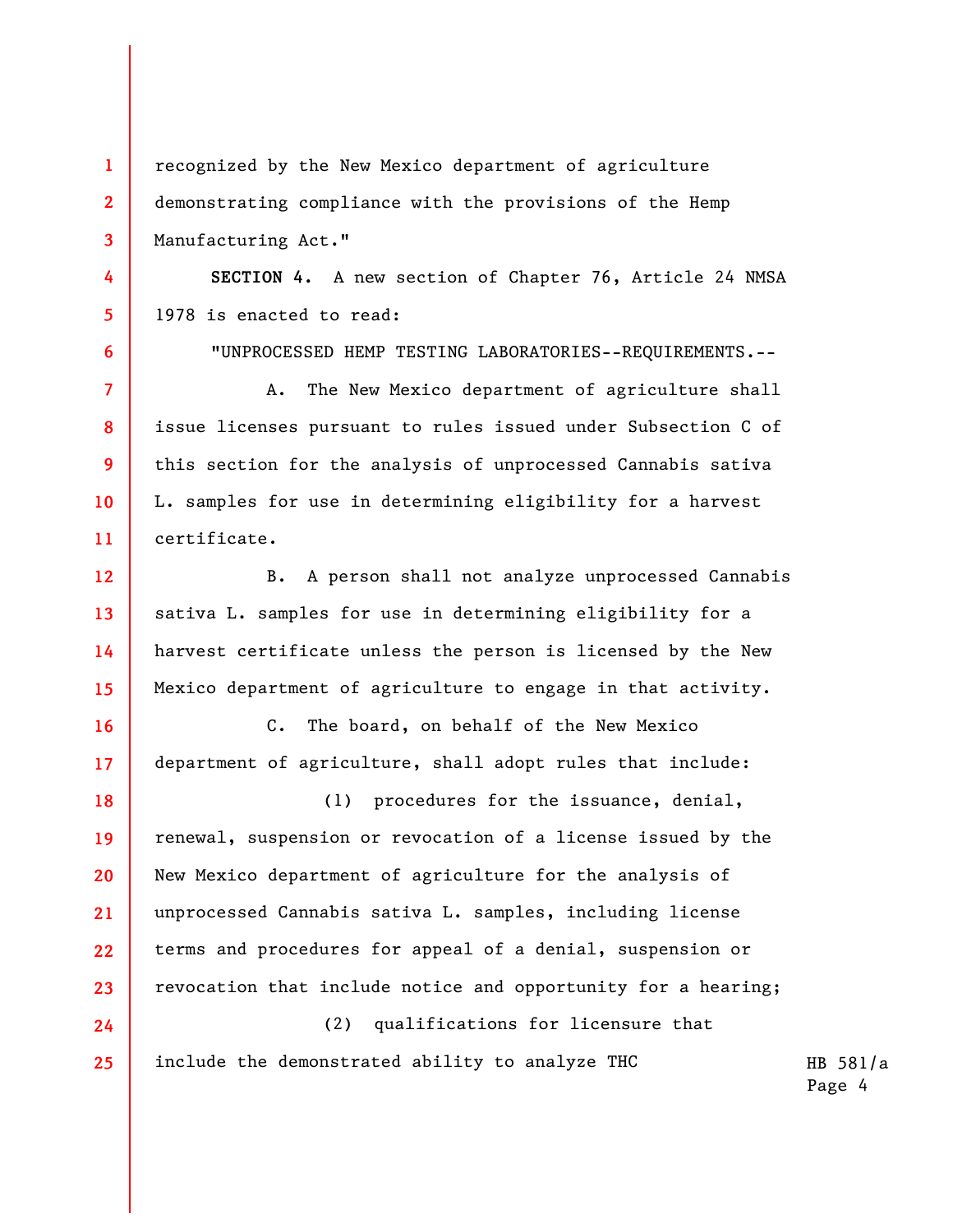**1 2 3**  recognized by the New Mexico department of agriculture demonstrating compliance with the provisions of the Hemp Manufacturing Act."

**4** 

**5** 

**6** 

**7** 

**8** 

**9** 

**10** 

**11** 

**24** 

**25** 

**SECTION 4.** A new section of Chapter 76, Article 24 NMSA 1978 is enacted to read:

"UNPROCESSED HEMP TESTING LABORATORIES--REQUIREMENTS.--

A. The New Mexico department of agriculture shall issue licenses pursuant to rules issued under Subsection C of this section for the analysis of unprocessed Cannabis sativa L. samples for use in determining eligibility for a harvest certificate.

**12 13 14 15**  B. A person shall not analyze unprocessed Cannabis sativa L. samples for use in determining eligibility for a harvest certificate unless the person is licensed by the New Mexico department of agriculture to engage in that activity.

**16 17**  C. The board, on behalf of the New Mexico department of agriculture, shall adopt rules that include:

**18 19 20 21 22 23**  (1) procedures for the issuance, denial, renewal, suspension or revocation of a license issued by the New Mexico department of agriculture for the analysis of unprocessed Cannabis sativa L. samples, including license terms and procedures for appeal of a denial, suspension or revocation that include notice and opportunity for a hearing;

(2) qualifications for licensure that include the demonstrated ability to analyze THC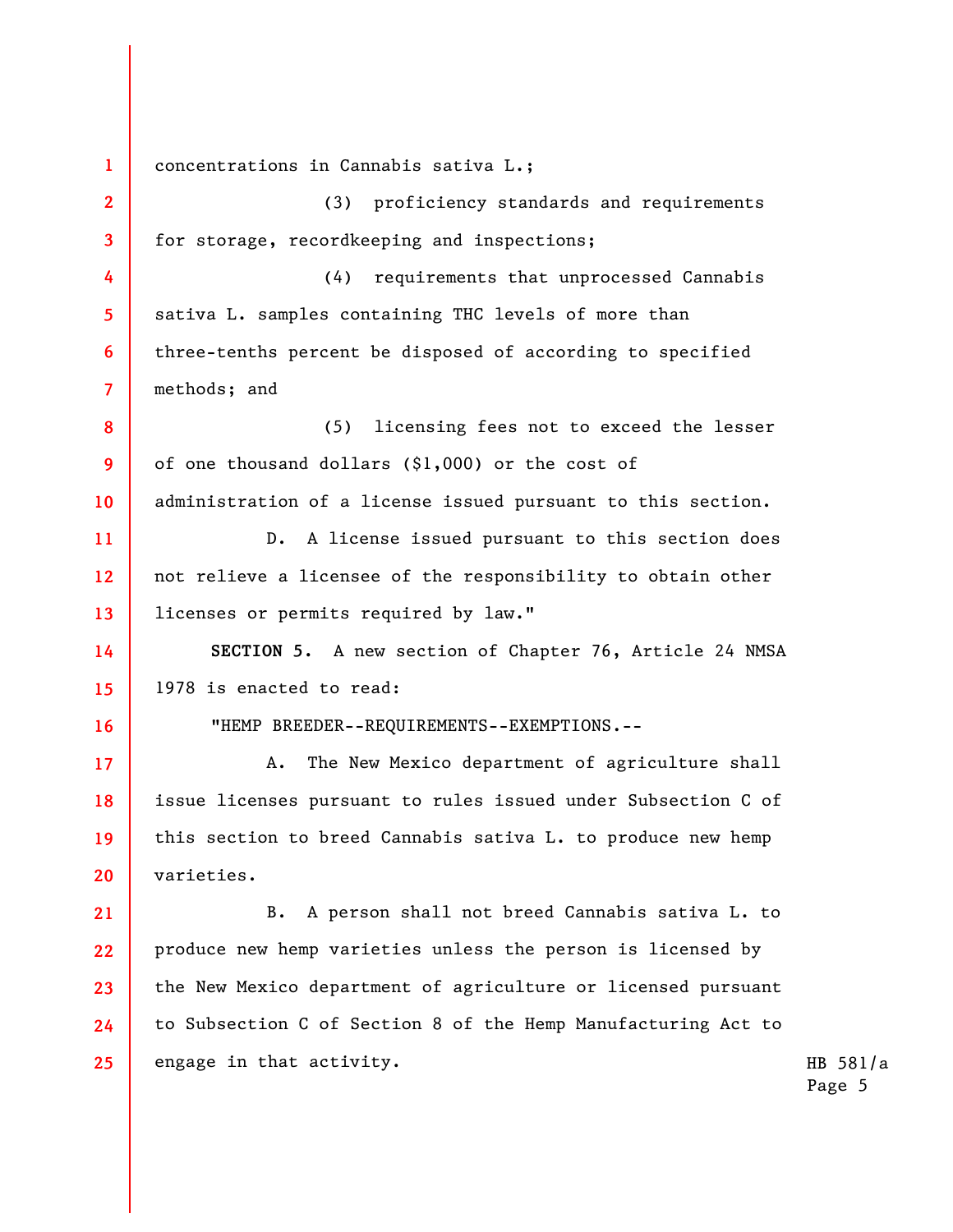**1 2 3 4 5 6 7 8 9 10 11 12 13 14 15 16 17 18 19 20 21 22 23 24 25**  concentrations in Cannabis sativa L.; (3) proficiency standards and requirements for storage, recordkeeping and inspections; (4) requirements that unprocessed Cannabis sativa L. samples containing THC levels of more than three-tenths percent be disposed of according to specified methods; and (5) licensing fees not to exceed the lesser of one thousand dollars (\$1,000) or the cost of administration of a license issued pursuant to this section. D. A license issued pursuant to this section does not relieve a licensee of the responsibility to obtain other licenses or permits required by law." **SECTION 5.** A new section of Chapter 76, Article 24 NMSA 1978 is enacted to read: "HEMP BREEDER--REQUIREMENTS--EXEMPTIONS.-- A. The New Mexico department of agriculture shall issue licenses pursuant to rules issued under Subsection C of this section to breed Cannabis sativa L. to produce new hemp varieties. B. A person shall not breed Cannabis sativa L. to produce new hemp varieties unless the person is licensed by the New Mexico department of agriculture or licensed pursuant to Subsection C of Section 8 of the Hemp Manufacturing Act to engage in that activity.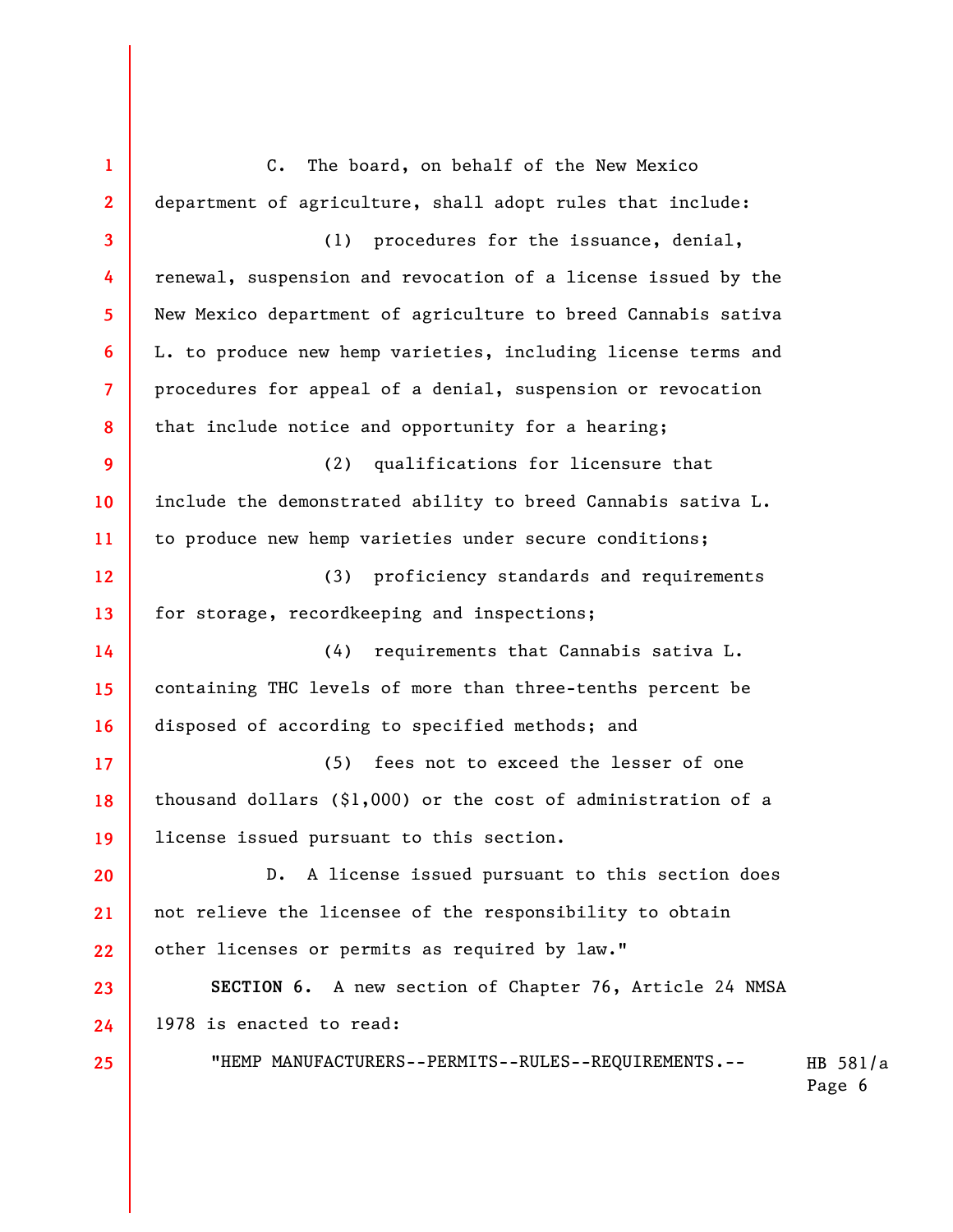HB 581/a **1 2 3 4 5 6 7 8 9 10 11 12 13 14 15 16 17 18 19 20 21 22 23 24 25**  C. The board, on behalf of the New Mexico department of agriculture, shall adopt rules that include: (1) procedures for the issuance, denial, renewal, suspension and revocation of a license issued by the New Mexico department of agriculture to breed Cannabis sativa L. to produce new hemp varieties, including license terms and procedures for appeal of a denial, suspension or revocation that include notice and opportunity for a hearing; (2) qualifications for licensure that include the demonstrated ability to breed Cannabis sativa L. to produce new hemp varieties under secure conditions; (3) proficiency standards and requirements for storage, recordkeeping and inspections; (4) requirements that Cannabis sativa L. containing THC levels of more than three-tenths percent be disposed of according to specified methods; and (5) fees not to exceed the lesser of one thousand dollars (\$1,000) or the cost of administration of a license issued pursuant to this section. D. A license issued pursuant to this section does not relieve the licensee of the responsibility to obtain other licenses or permits as required by law." **SECTION 6.** A new section of Chapter 76, Article 24 NMSA 1978 is enacted to read: "HEMP MANUFACTURERS--PERMITS--RULES--REQUIREMENTS.--

Page 6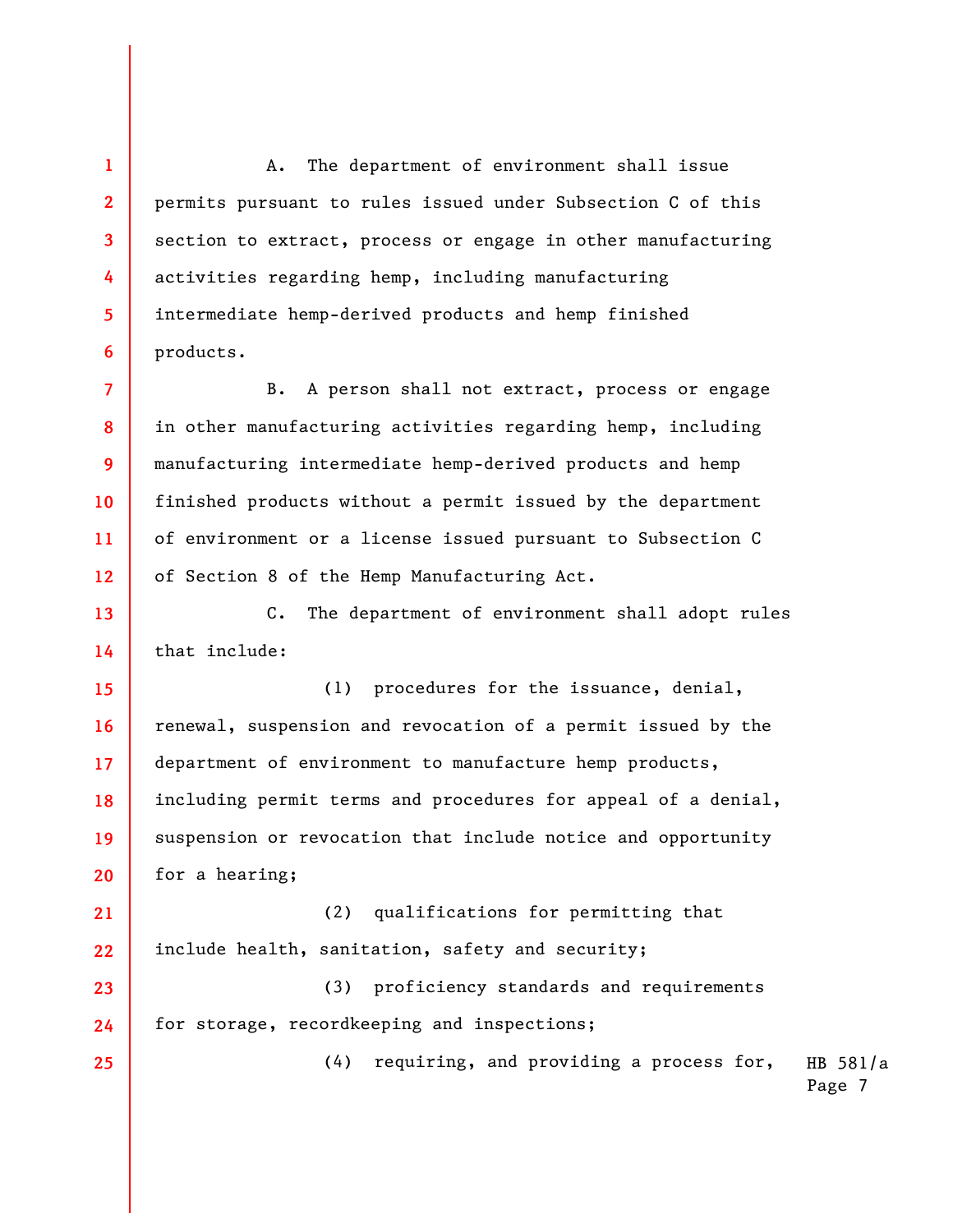A. The department of environment shall issue permits pursuant to rules issued under Subsection C of this section to extract, process or engage in other manufacturing activities regarding hemp, including manufacturing intermediate hemp-derived products and hemp finished products.

B. A person shall not extract, process or engage in other manufacturing activities regarding hemp, including manufacturing intermediate hemp-derived products and hemp finished products without a permit issued by the department of environment or a license issued pursuant to Subsection C of Section 8 of the Hemp Manufacturing Act.

**13 14**  C. The department of environment shall adopt rules that include:

**15 16 17 18 19 20**  (1) procedures for the issuance, denial, renewal, suspension and revocation of a permit issued by the department of environment to manufacture hemp products, including permit terms and procedures for appeal of a denial, suspension or revocation that include notice and opportunity for a hearing;

**21 22**  (2) qualifications for permitting that include health, sanitation, safety and security;

**23 24**  (3) proficiency standards and requirements for storage, recordkeeping and inspections;

> HB 581/a Page 7 (4) requiring, and providing a process for,

**1** 

**2** 

**3** 

**4** 

**5** 

**6** 

**7** 

**8** 

**9** 

**10** 

**11** 

**12** 

**25**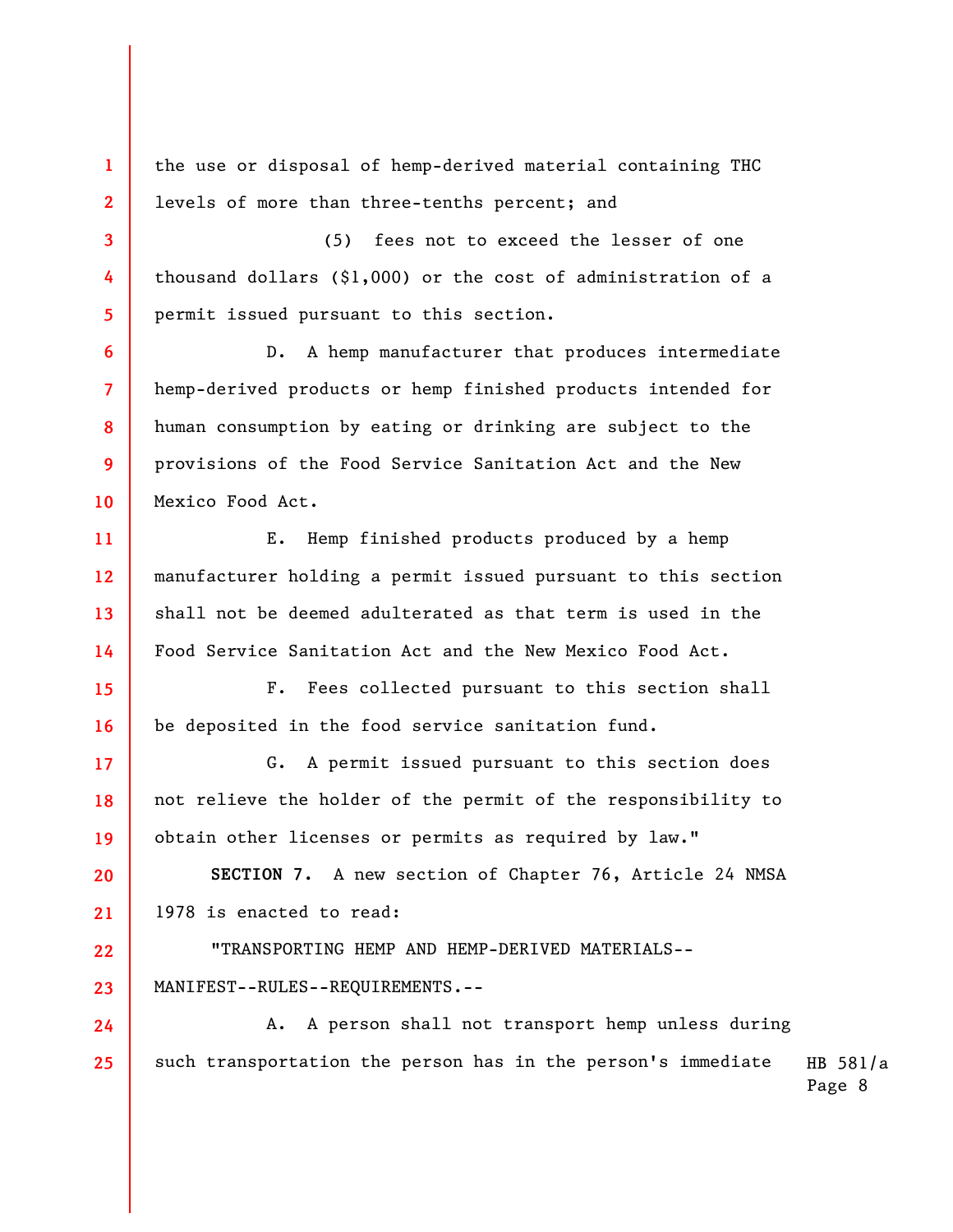the use or disposal of hemp-derived material containing THC levels of more than three-tenths percent; and

**1** 

**2** 

**3** 

**4** 

**5** 

**6** 

**7** 

**8** 

**9** 

**10** 

**15** 

**16** 

**17** 

**18** 

**19** 

**23** 

**24** 

**25** 

(5) fees not to exceed the lesser of one thousand dollars (\$1,000) or the cost of administration of a permit issued pursuant to this section.

D. A hemp manufacturer that produces intermediate hemp-derived products or hemp finished products intended for human consumption by eating or drinking are subject to the provisions of the Food Service Sanitation Act and the New Mexico Food Act.

**11 12 13 14**  E. Hemp finished products produced by a hemp manufacturer holding a permit issued pursuant to this section shall not be deemed adulterated as that term is used in the Food Service Sanitation Act and the New Mexico Food Act.

F. Fees collected pursuant to this section shall be deposited in the food service sanitation fund.

G. A permit issued pursuant to this section does not relieve the holder of the permit of the responsibility to obtain other licenses or permits as required by law."

**20 21 SECTION 7.** A new section of Chapter 76, Article 24 NMSA 1978 is enacted to read:

**22**  "TRANSPORTING HEMP AND HEMP-DERIVED MATERIALS-- MANIFEST--RULES--REQUIREMENTS.--

HB 581/a A. A person shall not transport hemp unless during such transportation the person has in the person's immediate

Page 8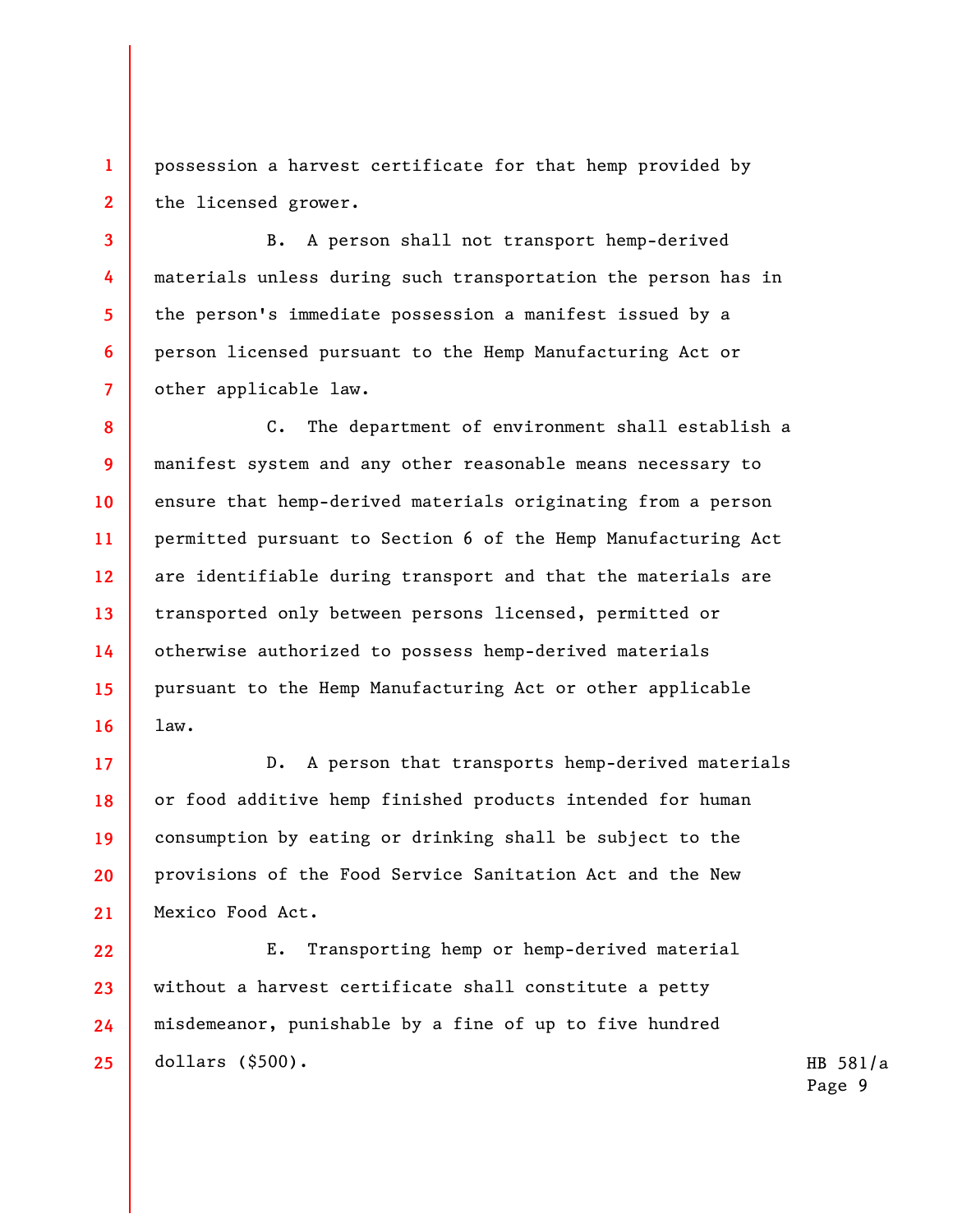**1 2**  possession a harvest certificate for that hemp provided by the licensed grower.

**3** 

**4** 

**5** 

**6** 

**7** 

B. A person shall not transport hemp-derived materials unless during such transportation the person has in the person's immediate possession a manifest issued by a person licensed pursuant to the Hemp Manufacturing Act or other applicable law.

**8 9 10 11 12 13 14 15 16**  C. The department of environment shall establish a manifest system and any other reasonable means necessary to ensure that hemp-derived materials originating from a person permitted pursuant to Section 6 of the Hemp Manufacturing Act are identifiable during transport and that the materials are transported only between persons licensed, permitted or otherwise authorized to possess hemp-derived materials pursuant to the Hemp Manufacturing Act or other applicable law.

**17 18 19 20 21**  D. A person that transports hemp-derived materials or food additive hemp finished products intended for human consumption by eating or drinking shall be subject to the provisions of the Food Service Sanitation Act and the New Mexico Food Act.

**22 23 24 25**  E. Transporting hemp or hemp-derived material without a harvest certificate shall constitute a petty misdemeanor, punishable by a fine of up to five hundred dollars (\$500).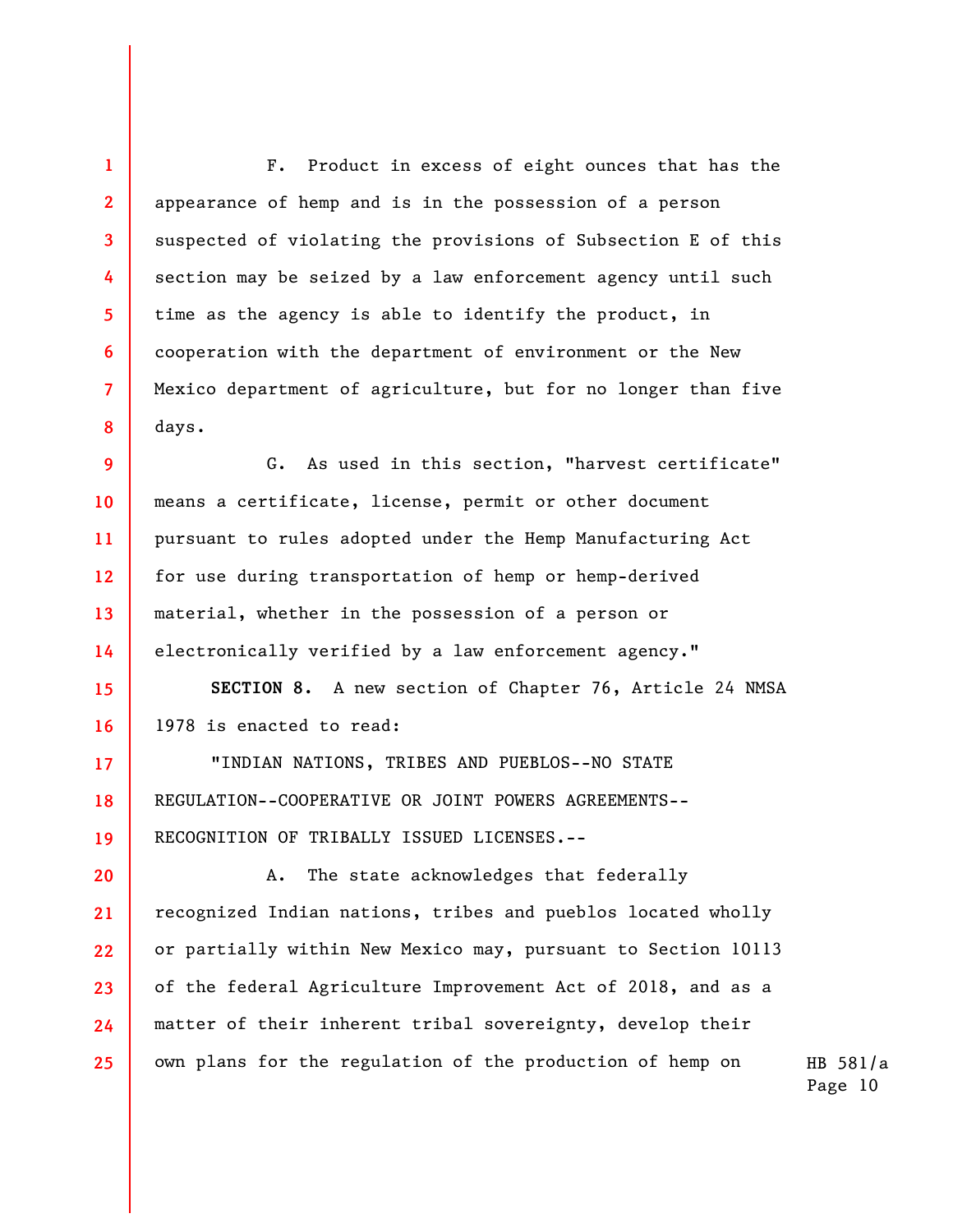F. Product in excess of eight ounces that has the appearance of hemp and is in the possession of a person suspected of violating the provisions of Subsection E of this section may be seized by a law enforcement agency until such time as the agency is able to identify the product, in cooperation with the department of environment or the New Mexico department of agriculture, but for no longer than five days.

**1** 

**2** 

**3** 

**4** 

**5** 

**6** 

**7** 

**8** 

**17** 

**18** 

**19** 

**9 10 11 12 13 14**  G. As used in this section, "harvest certificate" means a certificate, license, permit or other document pursuant to rules adopted under the Hemp Manufacturing Act for use during transportation of hemp or hemp-derived material, whether in the possession of a person or electronically verified by a law enforcement agency."

**15 16 SECTION 8.** A new section of Chapter 76, Article 24 NMSA 1978 is enacted to read:

"INDIAN NATIONS, TRIBES AND PUEBLOS--NO STATE REGULATION--COOPERATIVE OR JOINT POWERS AGREEMENTS-- RECOGNITION OF TRIBALLY ISSUED LICENSES.--

**20 21 22 23 24 25**  A. The state acknowledges that federally recognized Indian nations, tribes and pueblos located wholly or partially within New Mexico may, pursuant to Section 10113 of the federal Agriculture Improvement Act of 2018, and as a matter of their inherent tribal sovereignty, develop their own plans for the regulation of the production of hemp on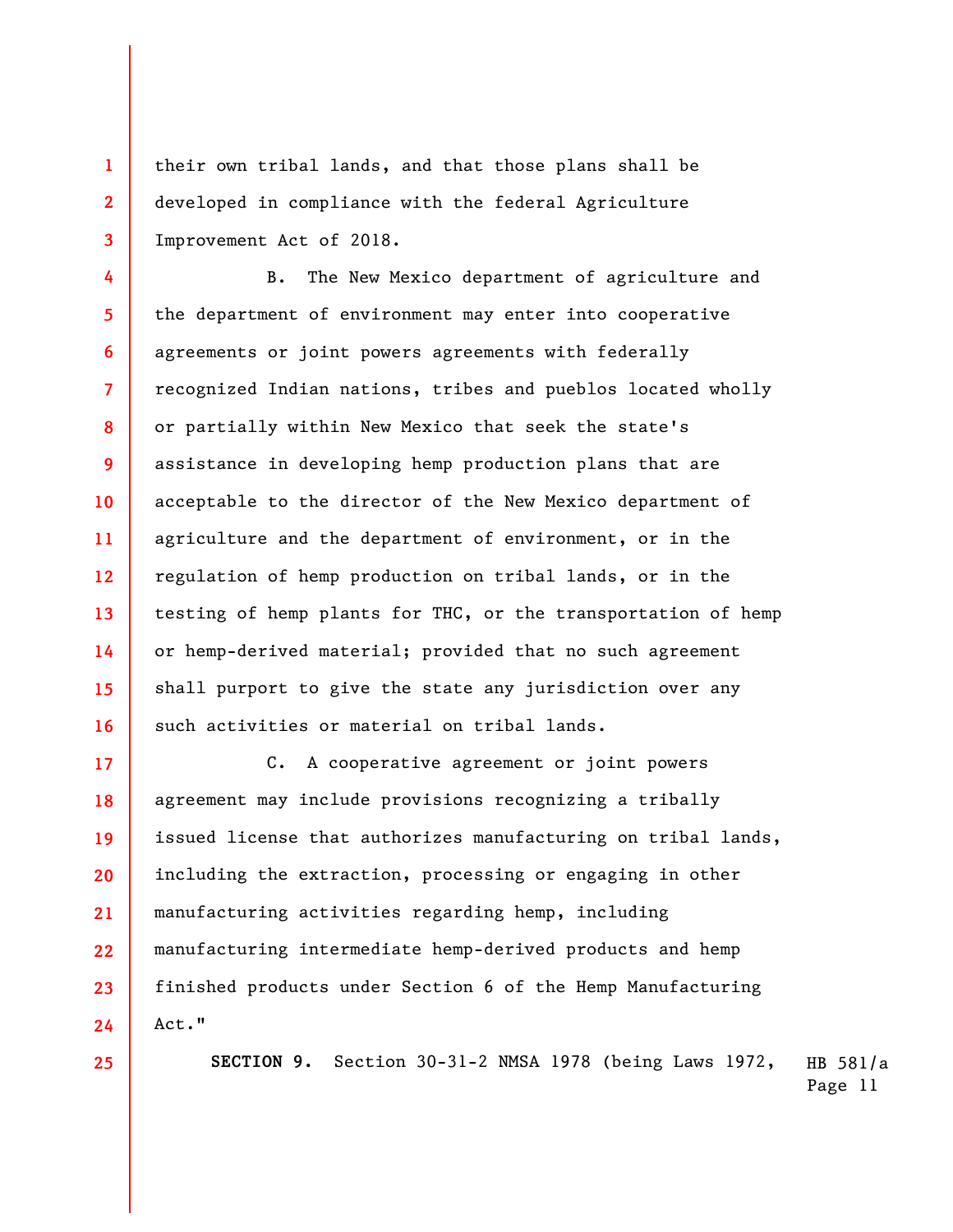**3**  their own tribal lands, and that those plans shall be developed in compliance with the federal Agriculture Improvement Act of 2018.

**4 5 6 7 8 9 10 11 12 13 14 15 16**  B. The New Mexico department of agriculture and the department of environment may enter into cooperative agreements or joint powers agreements with federally recognized Indian nations, tribes and pueblos located wholly or partially within New Mexico that seek the state's assistance in developing hemp production plans that are acceptable to the director of the New Mexico department of agriculture and the department of environment, or in the regulation of hemp production on tribal lands, or in the testing of hemp plants for THC, or the transportation of hemp or hemp-derived material; provided that no such agreement shall purport to give the state any jurisdiction over any such activities or material on tribal lands.

**17 18 19 20 21 22 23 24**  C. A cooperative agreement or joint powers agreement may include provisions recognizing a tribally issued license that authorizes manufacturing on tribal lands, including the extraction, processing or engaging in other manufacturing activities regarding hemp, including manufacturing intermediate hemp-derived products and hemp finished products under Section 6 of the Hemp Manufacturing Act."

**25** 

**1** 

**2** 

HB 581/a **SECTION 9.** Section 30-31-2 NMSA 1978 (being Laws 1972,

Page 11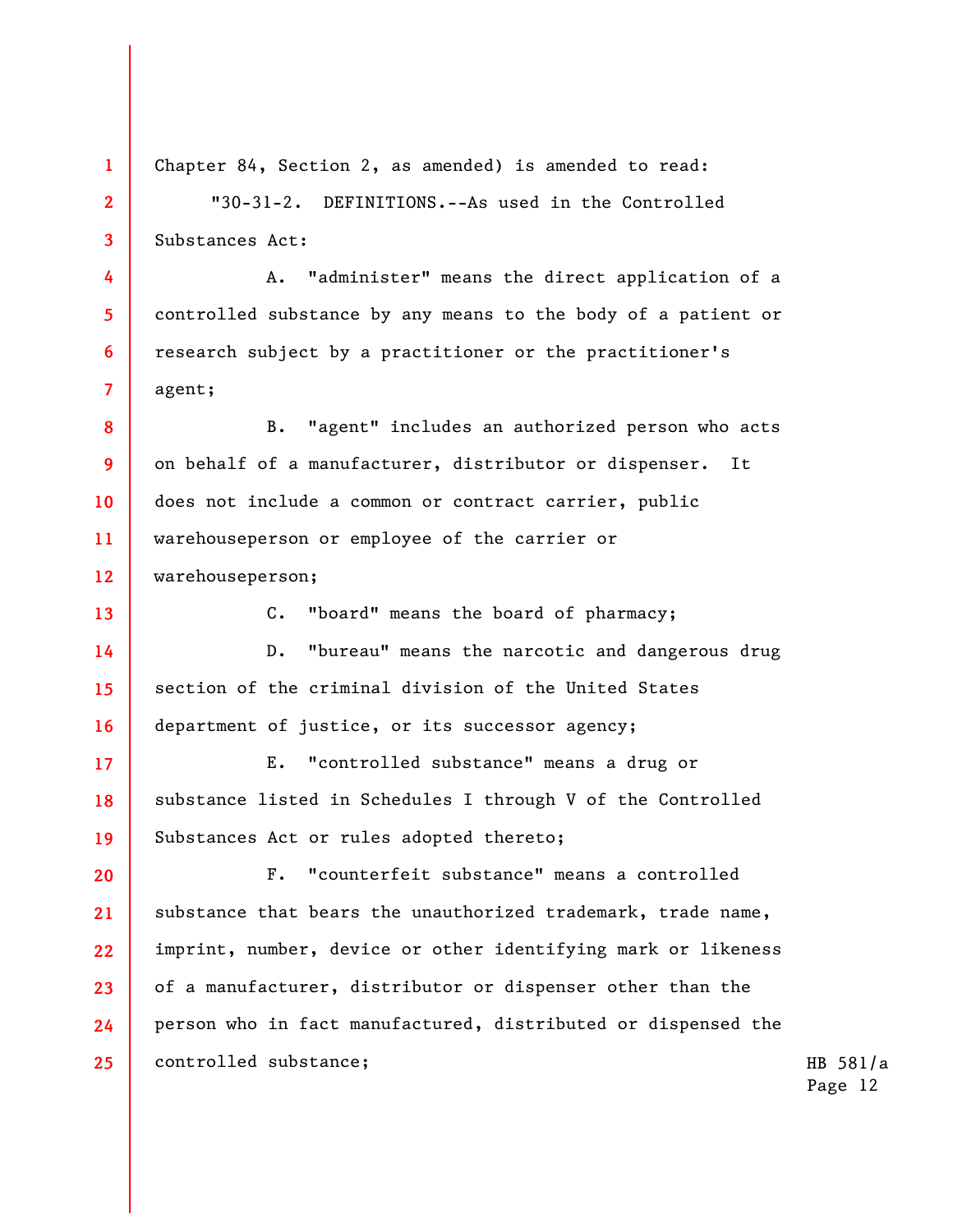Chapter 84, Section 2, as amended) is amended to read:

**1** 

**2** 

**3** 

**4** 

**5** 

**6** 

**7** 

**13** 

"30-31-2. DEFINITIONS.--As used in the Controlled Substances Act:

A. "administer" means the direct application of a controlled substance by any means to the body of a patient or research subject by a practitioner or the practitioner's agent;

**8 9 10 11 12**  B. "agent" includes an authorized person who acts on behalf of a manufacturer, distributor or dispenser. It does not include a common or contract carrier, public warehouseperson or employee of the carrier or warehouseperson;

C. "board" means the board of pharmacy;

**14 15 16**  D. "bureau" means the narcotic and dangerous drug section of the criminal division of the United States department of justice, or its successor agency;

**17 18 19**  E. "controlled substance" means a drug or substance listed in Schedules I through V of the Controlled Substances Act or rules adopted thereto;

**20 21 22 23 24 25**  F. "counterfeit substance" means a controlled substance that bears the unauthorized trademark, trade name, imprint, number, device or other identifying mark or likeness of a manufacturer, distributor or dispenser other than the person who in fact manufactured, distributed or dispensed the controlled substance;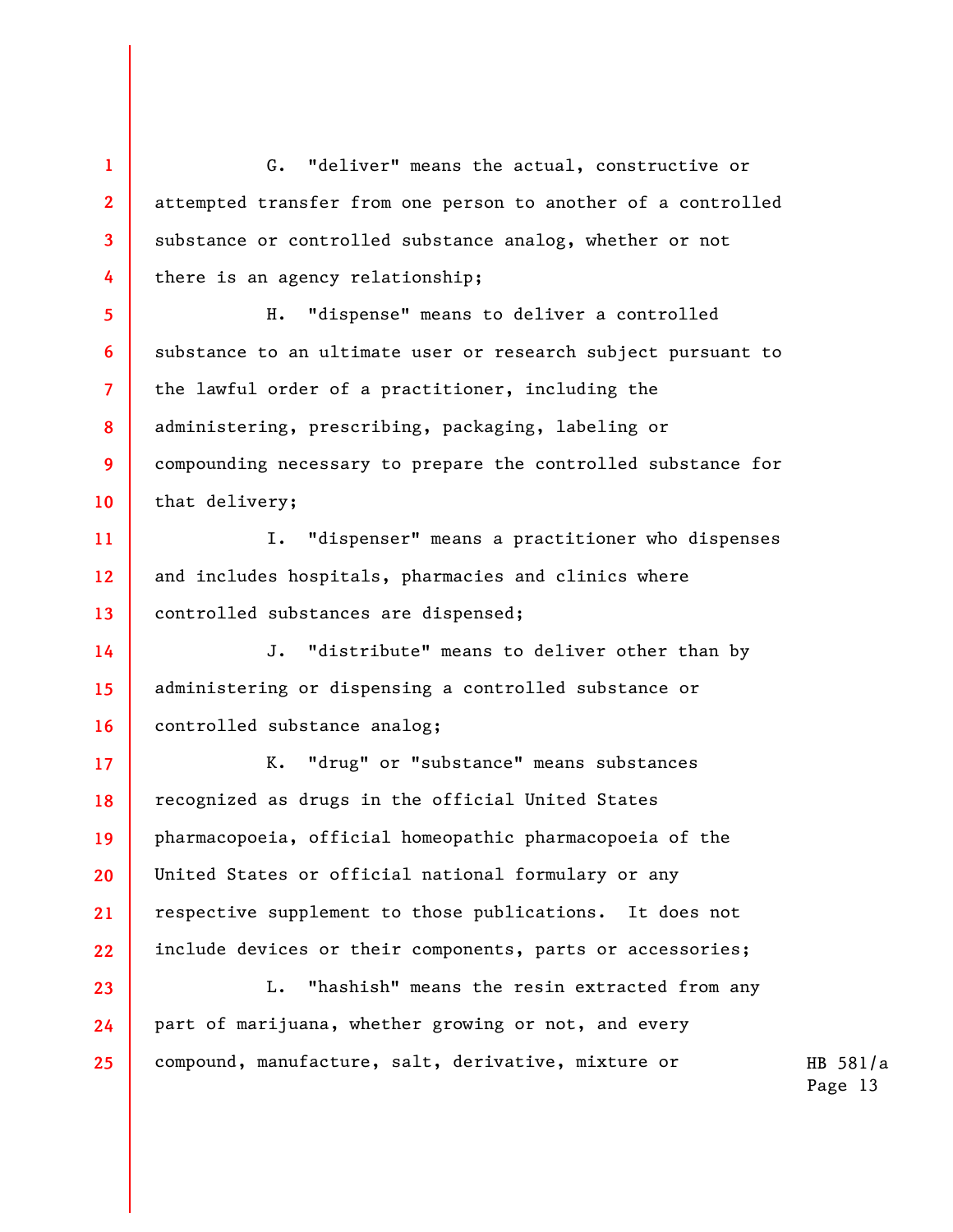**1 2 3 4**  G. "deliver" means the actual, constructive or attempted transfer from one person to another of a controlled substance or controlled substance analog, whether or not there is an agency relationship;

**5 6 7 8 9 10**  H. "dispense" means to deliver a controlled substance to an ultimate user or research subject pursuant to the lawful order of a practitioner, including the administering, prescribing, packaging, labeling or compounding necessary to prepare the controlled substance for that delivery;

**11 12 13**  I. "dispenser" means a practitioner who dispenses and includes hospitals, pharmacies and clinics where controlled substances are dispensed;

**14 15 16**  J. "distribute" means to deliver other than by administering or dispensing a controlled substance or controlled substance analog;

**17 18 19 20 21 22**  K. "drug" or "substance" means substances recognized as drugs in the official United States pharmacopoeia, official homeopathic pharmacopoeia of the United States or official national formulary or any respective supplement to those publications. It does not include devices or their components, parts or accessories;

L. "hashish" means the resin extracted from any part of marijuana, whether growing or not, and every compound, manufacture, salt, derivative, mixture or

**23** 

**24** 

**25**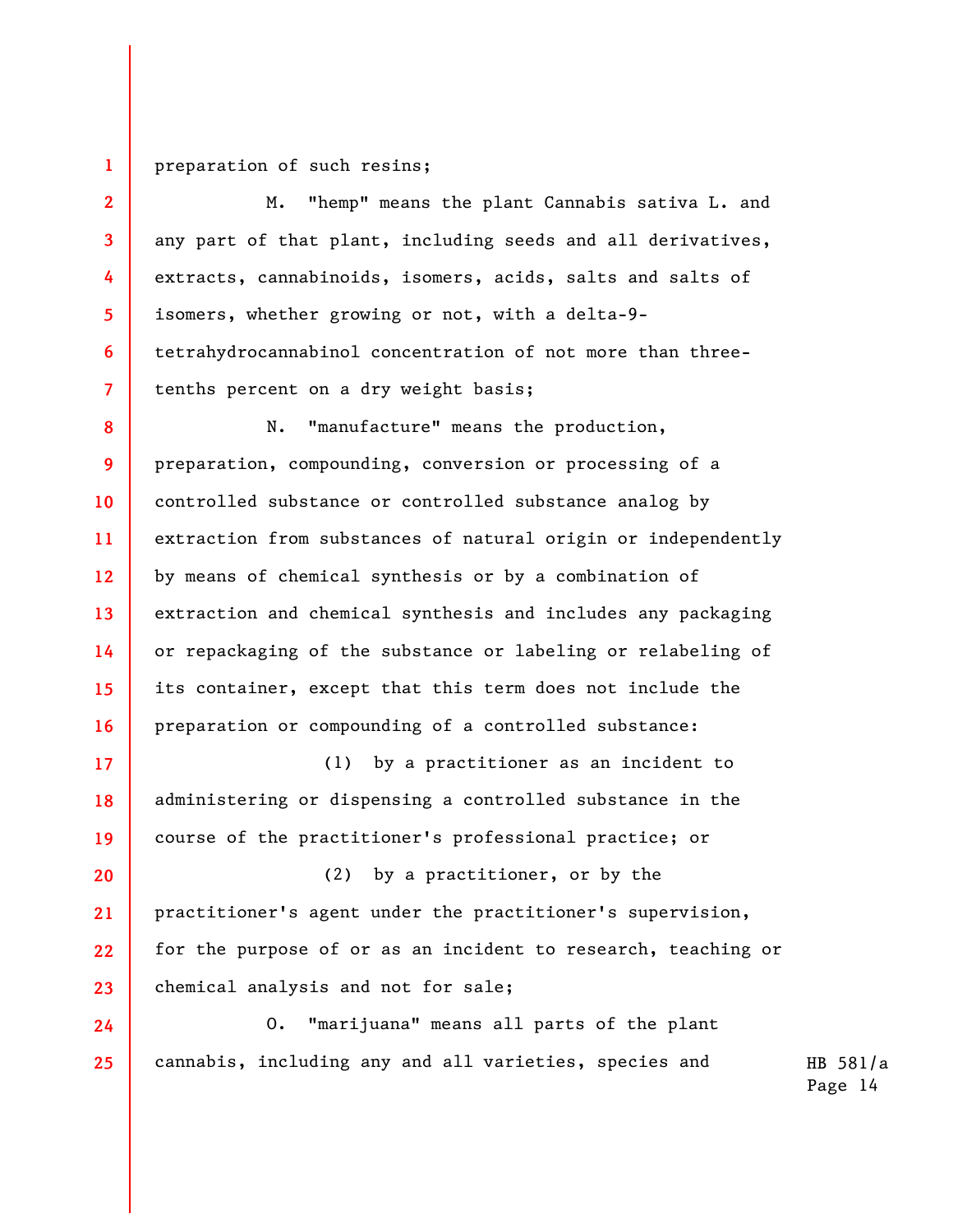**1**  preparation of such resins;

**2** 

**3** 

**4** 

**5** 

**6** 

**7** 

M. "hemp" means the plant Cannabis sativa L. and any part of that plant, including seeds and all derivatives, extracts, cannabinoids, isomers, acids, salts and salts of isomers, whether growing or not, with a delta-9 tetrahydrocannabinol concentration of not more than threetenths percent on a dry weight basis;

**8 9 10 11 12 13 14 15 16**  N. "manufacture" means the production, preparation, compounding, conversion or processing of a controlled substance or controlled substance analog by extraction from substances of natural origin or independently by means of chemical synthesis or by a combination of extraction and chemical synthesis and includes any packaging or repackaging of the substance or labeling or relabeling of its container, except that this term does not include the preparation or compounding of a controlled substance:

**17 18 19**  (1) by a practitioner as an incident to administering or dispensing a controlled substance in the course of the practitioner's professional practice; or

**20 21 22 23**  (2) by a practitioner, or by the practitioner's agent under the practitioner's supervision, for the purpose of or as an incident to research, teaching or chemical analysis and not for sale;

**24 25**  O. "marijuana" means all parts of the plant cannabis, including any and all varieties, species and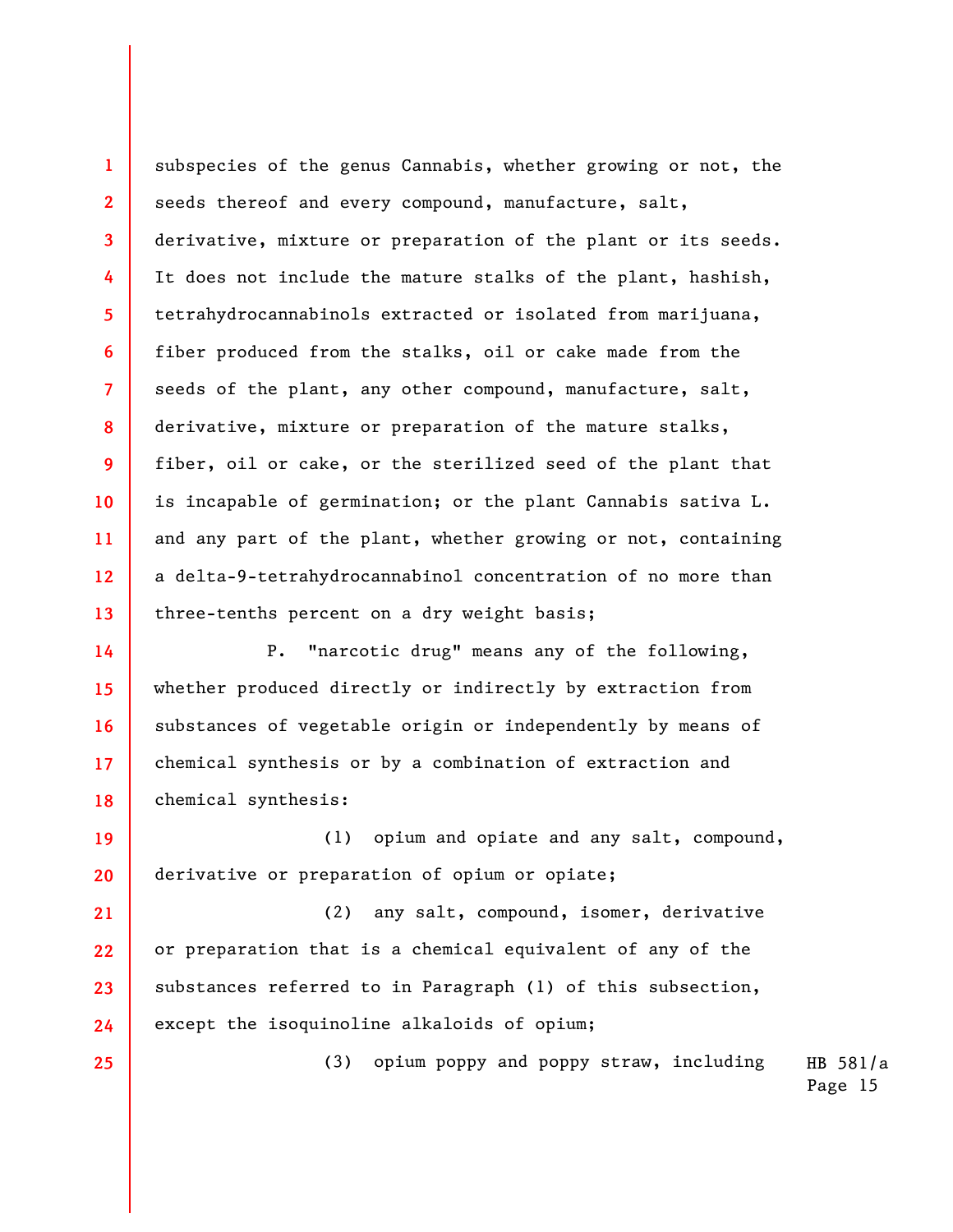**3 4 6 8 11 12 13**  subspecies of the genus Cannabis, whether growing or not, the seeds thereof and every compound, manufacture, salt, derivative, mixture or preparation of the plant or its seeds. It does not include the mature stalks of the plant, hashish, tetrahydrocannabinols extracted or isolated from marijuana, fiber produced from the stalks, oil or cake made from the seeds of the plant, any other compound, manufacture, salt, derivative, mixture or preparation of the mature stalks, fiber, oil or cake, or the sterilized seed of the plant that is incapable of germination; or the plant Cannabis sativa L. and any part of the plant, whether growing or not, containing a delta-9-tetrahydrocannabinol concentration of no more than three-tenths percent on a dry weight basis;

**1** 

**2** 

**5** 

**7** 

**9** 

**10** 

**25** 

**14 15 16 17 18**  P. "narcotic drug" means any of the following, whether produced directly or indirectly by extraction from substances of vegetable origin or independently by means of chemical synthesis or by a combination of extraction and chemical synthesis:

**19 20**  (1) opium and opiate and any salt, compound, derivative or preparation of opium or opiate;

**21 22 23 24**  (2) any salt, compound, isomer, derivative or preparation that is a chemical equivalent of any of the substances referred to in Paragraph (1) of this subsection, except the isoquinoline alkaloids of opium;

(3) opium poppy and poppy straw, including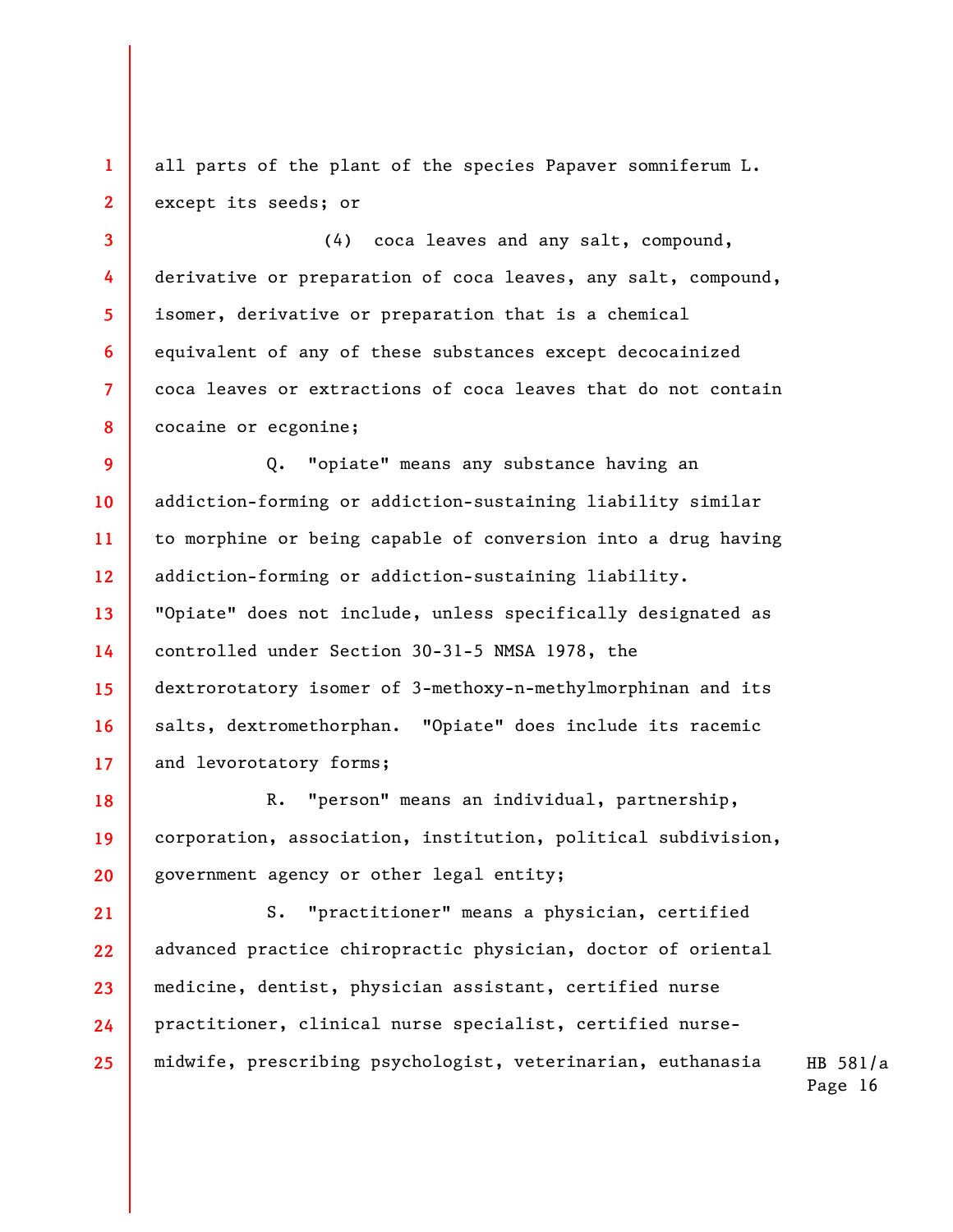all parts of the plant of the species Papaver somniferum L. except its seeds; or

**1** 

**2** 

**3** 

**5** 

**6** 

**7** 

**8** 

**4**  (4) coca leaves and any salt, compound, derivative or preparation of coca leaves, any salt, compound, isomer, derivative or preparation that is a chemical equivalent of any of these substances except decocainized coca leaves or extractions of coca leaves that do not contain cocaine or ecgonine;

**9 10 11 12 13 14 15 16 17**  Q. "opiate" means any substance having an addiction-forming or addiction-sustaining liability similar to morphine or being capable of conversion into a drug having addiction-forming or addiction-sustaining liability. "Opiate" does not include, unless specifically designated as controlled under Section 30-31-5 NMSA 1978, the dextrorotatory isomer of 3-methoxy-n-methylmorphinan and its salts, dextromethorphan. "Opiate" does include its racemic and levorotatory forms;

**18 19 20**  R. "person" means an individual, partnership, corporation, association, institution, political subdivision, government agency or other legal entity;

**21 22 23 24 25**  S. "practitioner" means a physician, certified advanced practice chiropractic physician, doctor of oriental medicine, dentist, physician assistant, certified nurse practitioner, clinical nurse specialist, certified nursemidwife, prescribing psychologist, veterinarian, euthanasia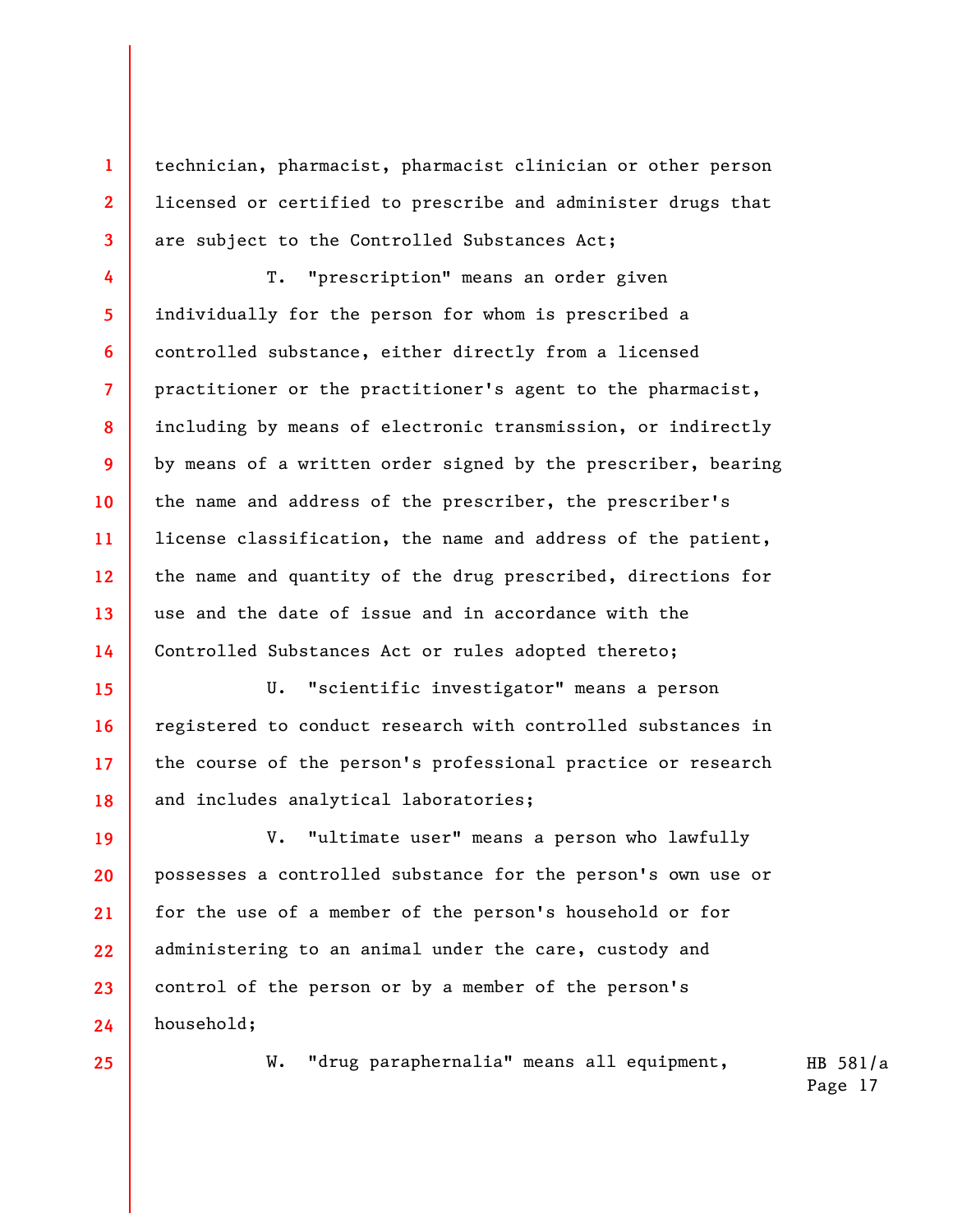technician, pharmacist, pharmacist clinician or other person licensed or certified to prescribe and administer drugs that are subject to the Controlled Substances Act;

**4 5 6 7 8 9 10 11 12 13 14**  T. "prescription" means an order given individually for the person for whom is prescribed a controlled substance, either directly from a licensed practitioner or the practitioner's agent to the pharmacist, including by means of electronic transmission, or indirectly by means of a written order signed by the prescriber, bearing the name and address of the prescriber, the prescriber's license classification, the name and address of the patient, the name and quantity of the drug prescribed, directions for use and the date of issue and in accordance with the Controlled Substances Act or rules adopted thereto;

**15 16 17 18**  U. "scientific investigator" means a person registered to conduct research with controlled substances in the course of the person's professional practice or research and includes analytical laboratories;

**19 20 21 22 23 24**  V. "ultimate user" means a person who lawfully possesses a controlled substance for the person's own use or for the use of a member of the person's household or for administering to an animal under the care, custody and control of the person or by a member of the person's household;

**25** 

**1** 

**2** 

**3** 

W. "drug paraphernalia" means all equipment,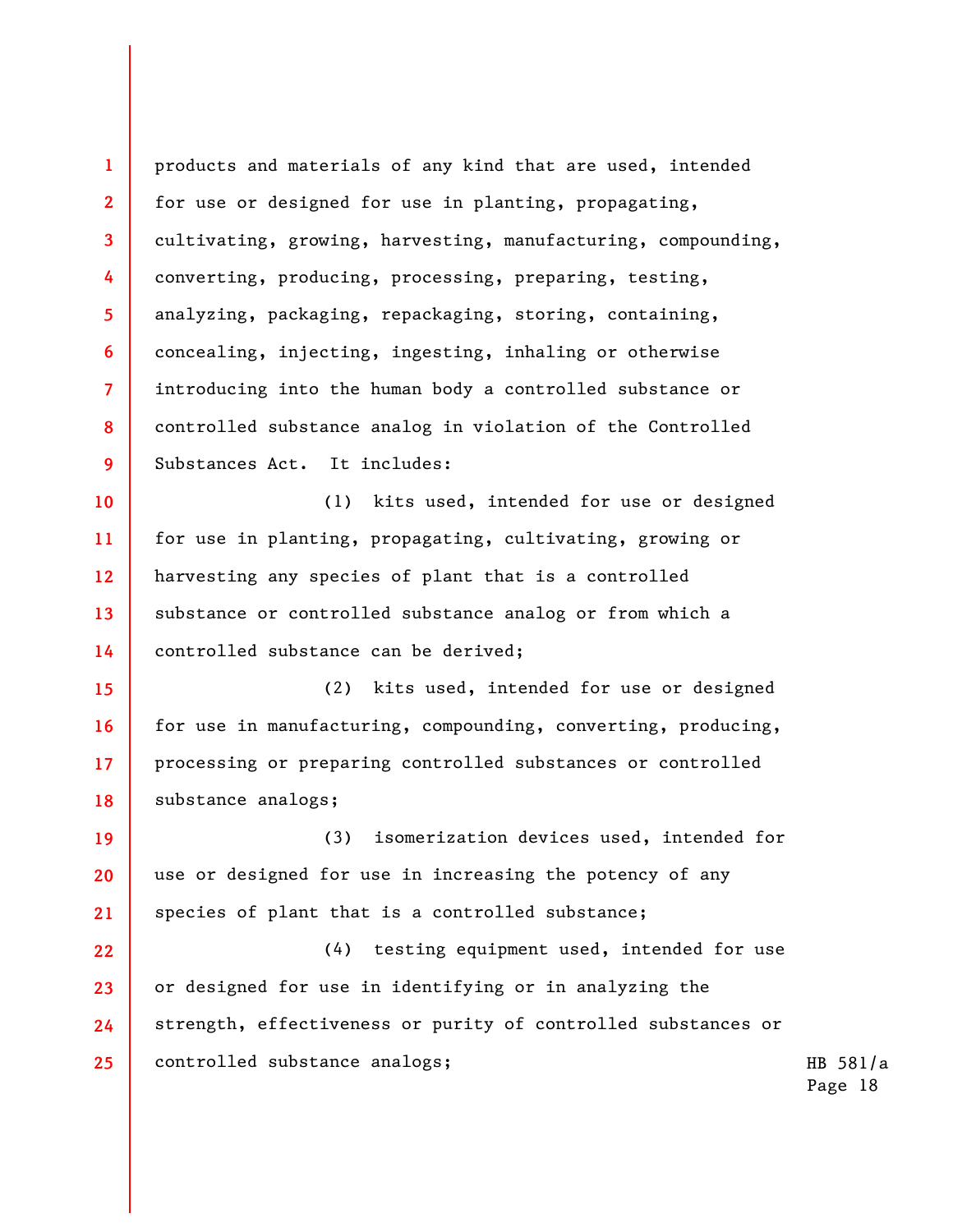**1 2 3 4 5 6 7 8 9 10 11 12 13 14 15 16**  products and materials of any kind that are used, intended for use or designed for use in planting, propagating, cultivating, growing, harvesting, manufacturing, compounding, converting, producing, processing, preparing, testing, analyzing, packaging, repackaging, storing, containing, concealing, injecting, ingesting, inhaling or otherwise introducing into the human body a controlled substance or controlled substance analog in violation of the Controlled Substances Act. It includes: (1) kits used, intended for use or designed for use in planting, propagating, cultivating, growing or harvesting any species of plant that is a controlled substance or controlled substance analog or from which a controlled substance can be derived; (2) kits used, intended for use or designed for use in manufacturing, compounding, converting, producing,

**17 18**  processing or preparing controlled substances or controlled substance analogs;

**19 20 21**  (3) isomerization devices used, intended for use or designed for use in increasing the potency of any species of plant that is a controlled substance;

**22 23 24 25**  (4) testing equipment used, intended for use or designed for use in identifying or in analyzing the strength, effectiveness or purity of controlled substances or controlled substance analogs;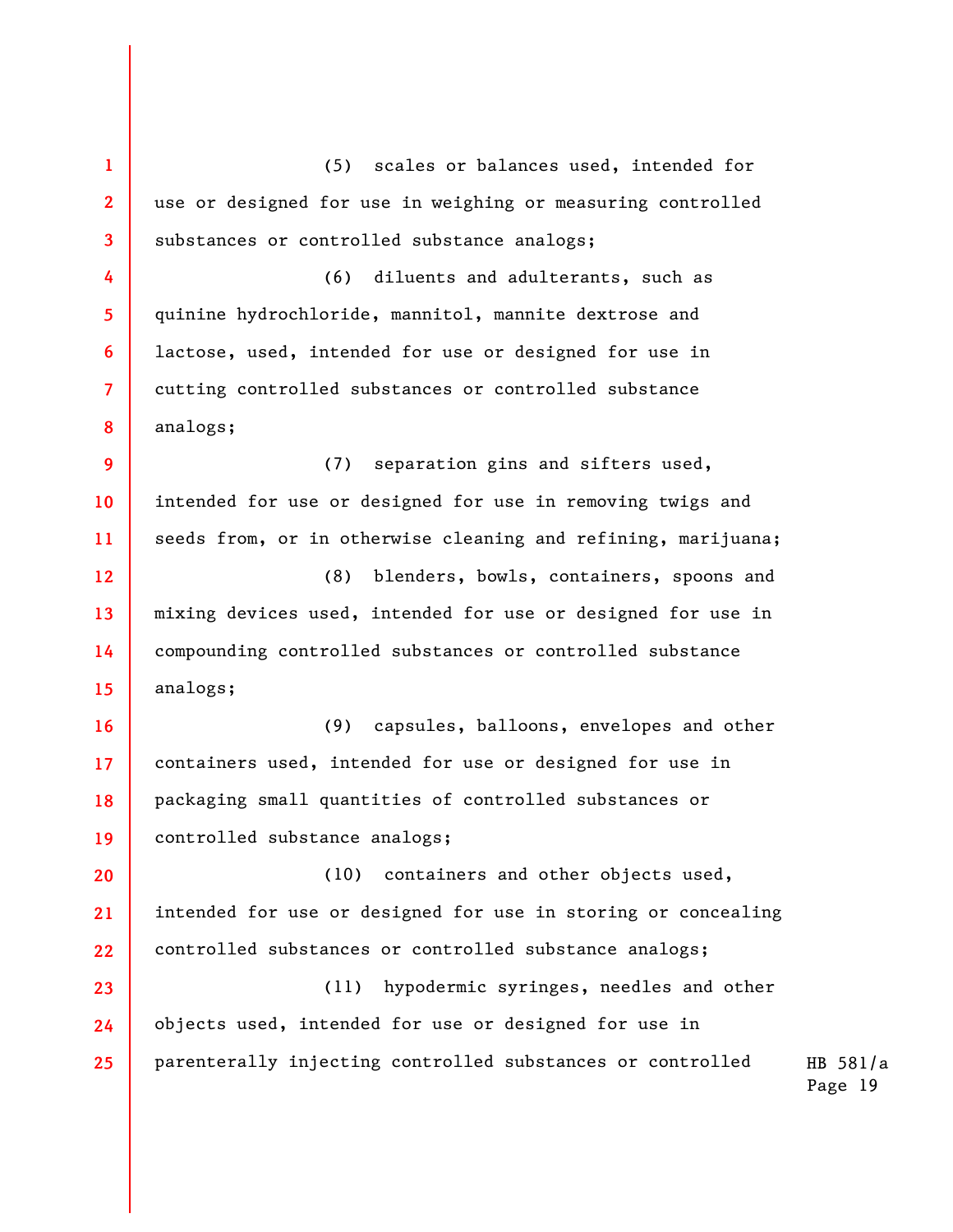**1 2 3 4 5 6 7 8 9 10 11 12 13 14 15 16 17 18 19 20 21 22 23 24 25**  (5) scales or balances used, intended for use or designed for use in weighing or measuring controlled substances or controlled substance analogs; (6) diluents and adulterants, such as quinine hydrochloride, mannitol, mannite dextrose and lactose, used, intended for use or designed for use in cutting controlled substances or controlled substance analogs; (7) separation gins and sifters used, intended for use or designed for use in removing twigs and seeds from, or in otherwise cleaning and refining, marijuana; (8) blenders, bowls, containers, spoons and mixing devices used, intended for use or designed for use in compounding controlled substances or controlled substance analogs; (9) capsules, balloons, envelopes and other containers used, intended for use or designed for use in packaging small quantities of controlled substances or controlled substance analogs; (10) containers and other objects used, intended for use or designed for use in storing or concealing controlled substances or controlled substance analogs; (11) hypodermic syringes, needles and other objects used, intended for use or designed for use in parenterally injecting controlled substances or controlled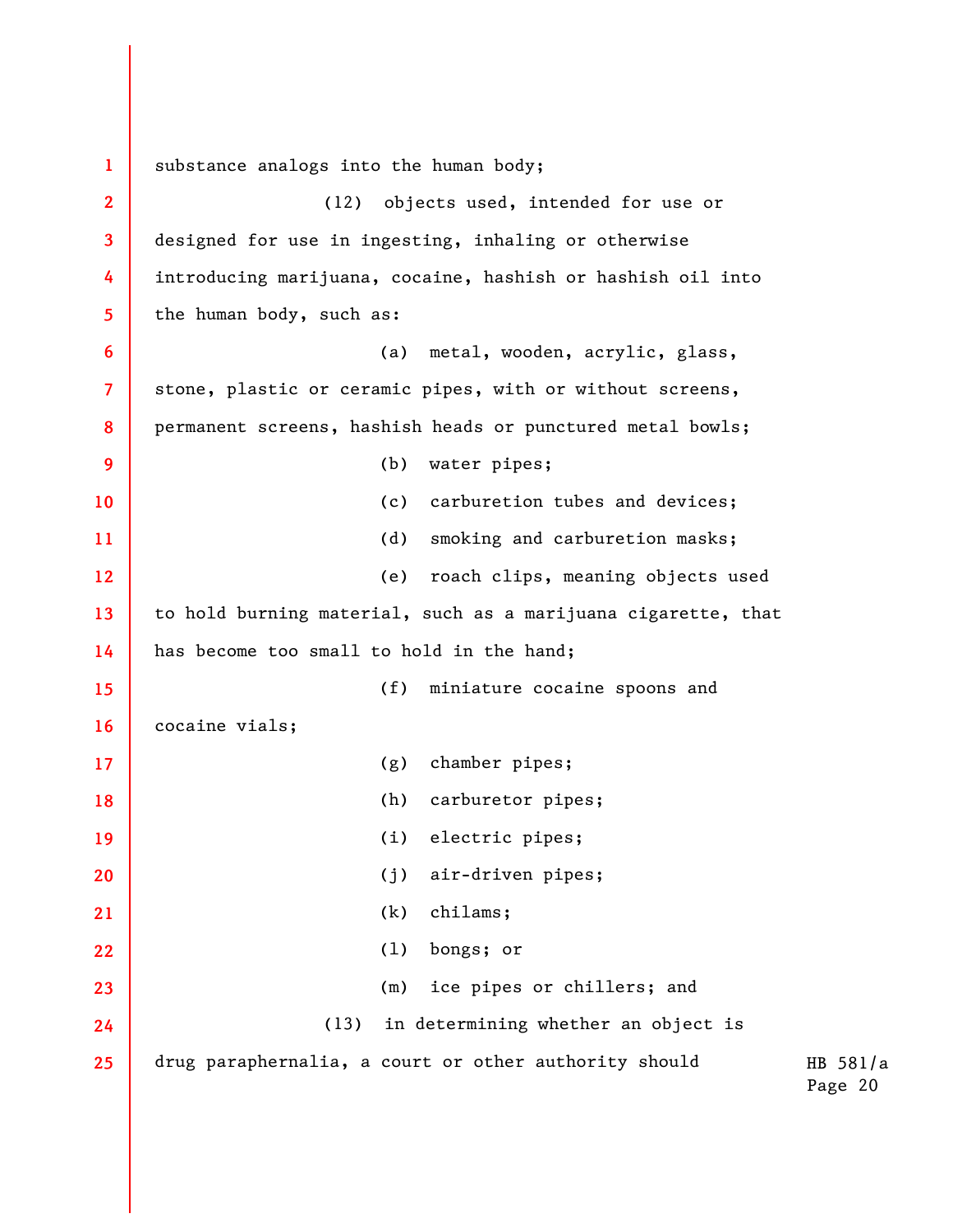HB 581/a Page 20 **1 2 3 4 5 6 7 8 9 10 11 12 13 14 15 16 17 18 19 20 21 22 23 24 25**  substance analogs into the human body; (12) objects used, intended for use or designed for use in ingesting, inhaling or otherwise introducing marijuana, cocaine, hashish or hashish oil into the human body, such as: (a) metal, wooden, acrylic, glass, stone, plastic or ceramic pipes, with or without screens, permanent screens, hashish heads or punctured metal bowls; (b) water pipes; (c) carburetion tubes and devices; (d) smoking and carburetion masks; (e) roach clips, meaning objects used to hold burning material, such as a marijuana cigarette, that has become too small to hold in the hand; (f) miniature cocaine spoons and cocaine vials; (g) chamber pipes; (h) carburetor pipes; (i) electric pipes; (j) air-driven pipes; (k) chilams; (l) bongs; or (m) ice pipes or chillers; and (13) in determining whether an object is drug paraphernalia, a court or other authority should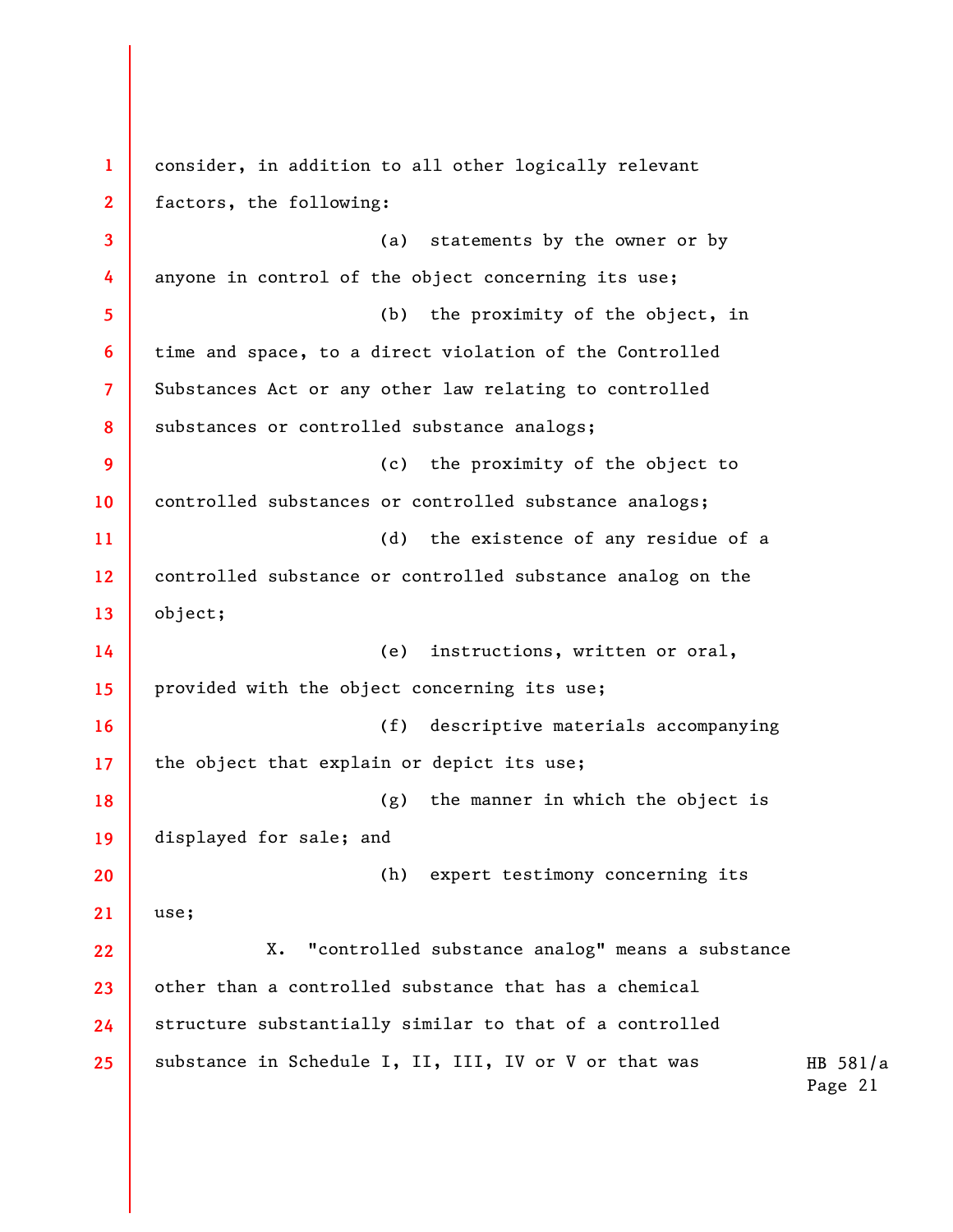HB 581/a Page 21 **1 2 3 4 5 6 7 8 9 10 11 12 13 14 15 16 17 18 19 20 21 22 23 24 25**  consider, in addition to all other logically relevant factors, the following: (a) statements by the owner or by anyone in control of the object concerning its use; (b) the proximity of the object, in time and space, to a direct violation of the Controlled Substances Act or any other law relating to controlled substances or controlled substance analogs; (c) the proximity of the object to controlled substances or controlled substance analogs; (d) the existence of any residue of a controlled substance or controlled substance analog on the object; (e) instructions, written or oral, provided with the object concerning its use; (f) descriptive materials accompanying the object that explain or depict its use; (g) the manner in which the object is displayed for sale; and (h) expert testimony concerning its use; X. "controlled substance analog" means a substance other than a controlled substance that has a chemical structure substantially similar to that of a controlled substance in Schedule I, II, III, IV or V or that was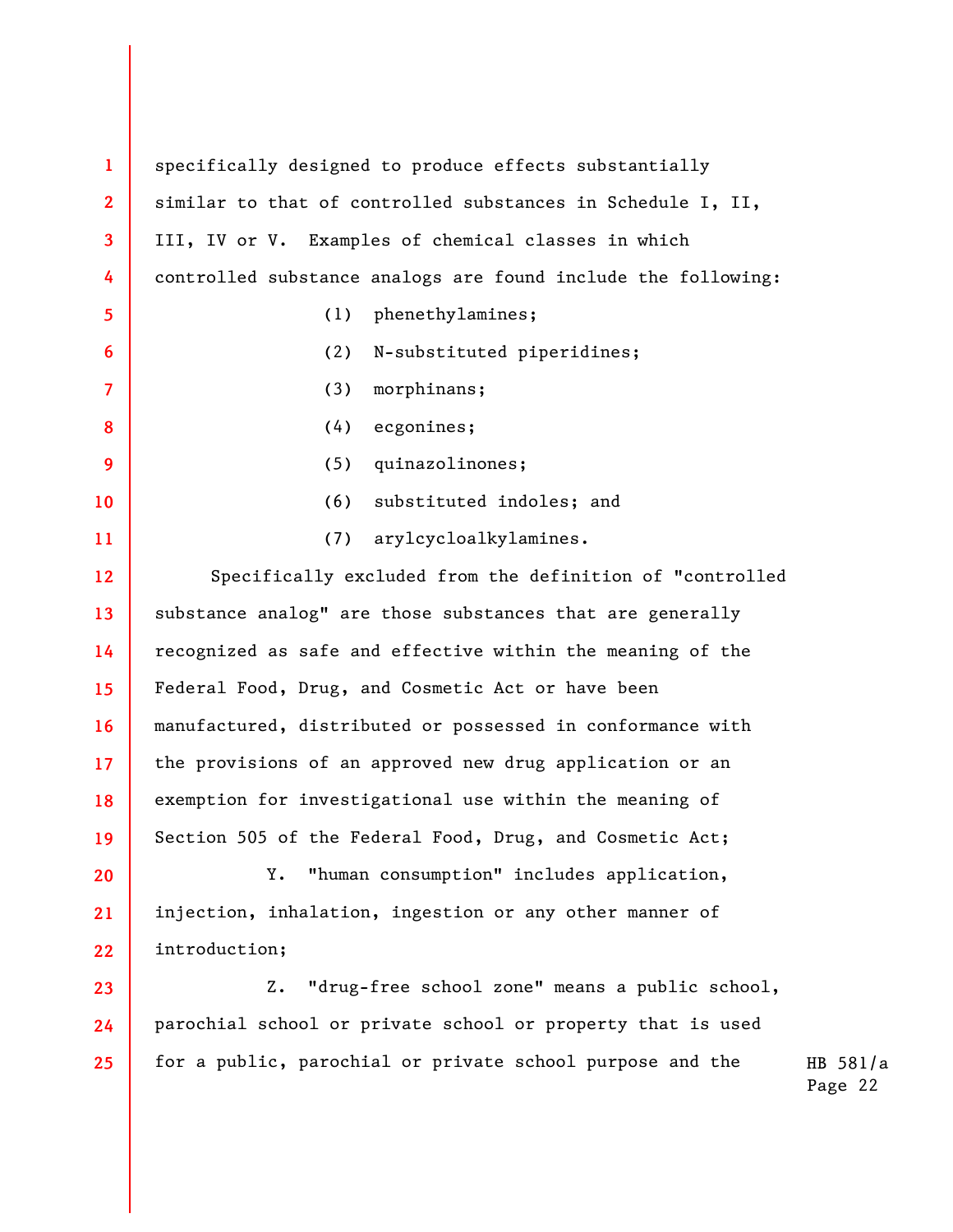**1 2 3 4 5 6 7 8 9 10 11 12 13 14 15 16 17 18 19 20 21 22 23 24 25**  specifically designed to produce effects substantially similar to that of controlled substances in Schedule I, II, III, IV or V. Examples of chemical classes in which controlled substance analogs are found include the following: (1) phenethylamines; (2) N-substituted piperidines; (3) morphinans; (4) ecgonines; (5) quinazolinones; (6) substituted indoles; and (7) arylcycloalkylamines. Specifically excluded from the definition of "controlled substance analog" are those substances that are generally recognized as safe and effective within the meaning of the Federal Food, Drug, and Cosmetic Act or have been manufactured, distributed or possessed in conformance with the provisions of an approved new drug application or an exemption for investigational use within the meaning of Section 505 of the Federal Food, Drug, and Cosmetic Act; Y. "human consumption" includes application, injection, inhalation, ingestion or any other manner of introduction; Z. "drug-free school zone" means a public school, parochial school or private school or property that is used for a public, parochial or private school purpose and the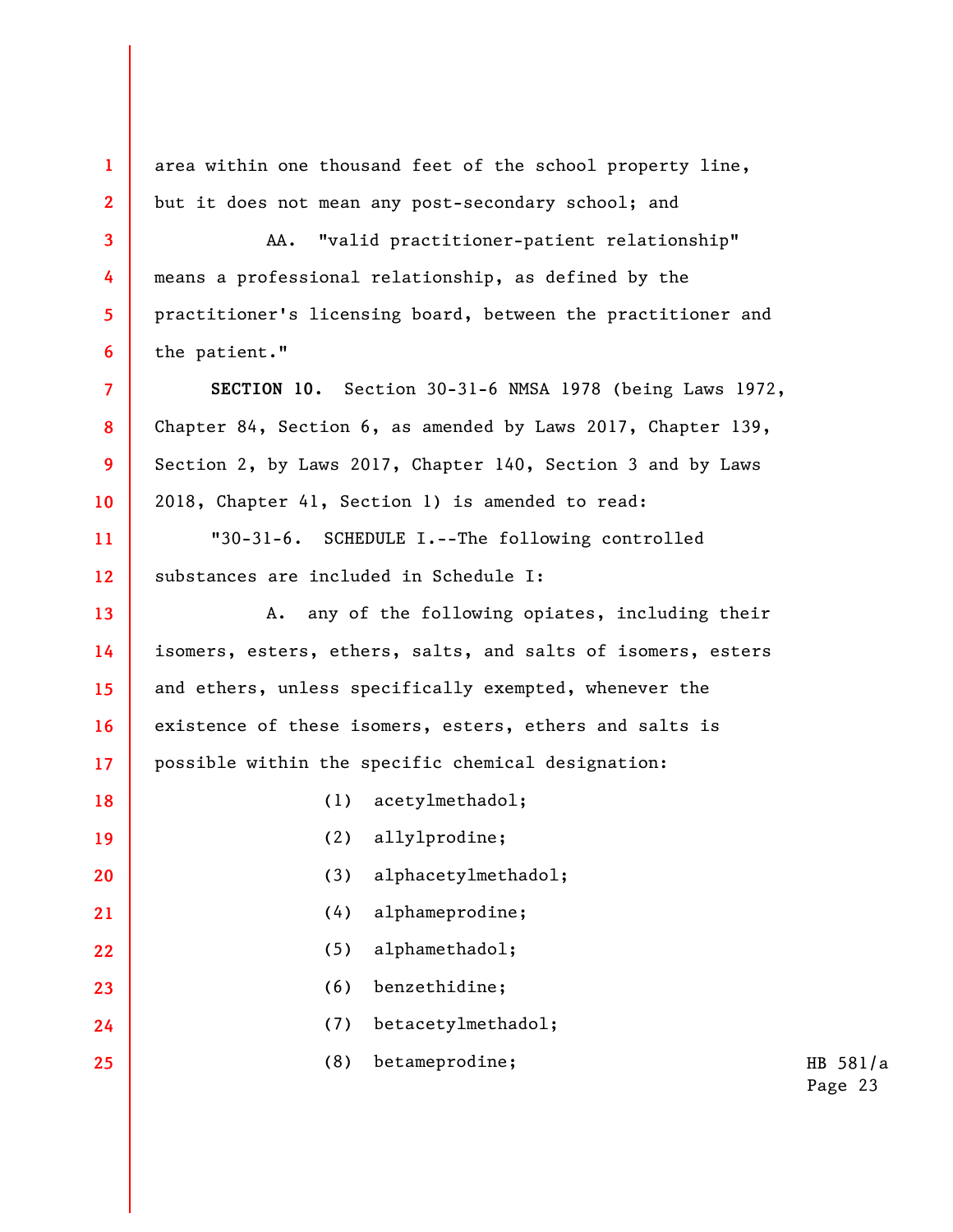**1 2 3 4 5 6 7 8 9 10 11 12 13 14 15 16 17 18 19 20 21 22 23 24 25**  area within one thousand feet of the school property line, but it does not mean any post-secondary school; and AA. "valid practitioner-patient relationship" means a professional relationship, as defined by the practitioner's licensing board, between the practitioner and the patient." **SECTION 10.** Section 30-31-6 NMSA 1978 (being Laws 1972, Chapter 84, Section 6, as amended by Laws 2017, Chapter 139, Section 2, by Laws 2017, Chapter 140, Section 3 and by Laws 2018, Chapter 41, Section 1) is amended to read: "30-31-6. SCHEDULE I.--The following controlled substances are included in Schedule I: A. any of the following opiates, including their isomers, esters, ethers, salts, and salts of isomers, esters and ethers, unless specifically exempted, whenever the existence of these isomers, esters, ethers and salts is possible within the specific chemical designation: (1) acetylmethadol; (2) allylprodine; (3) alphacetylmethadol; (4) alphameprodine; (5) alphamethadol; (6) benzethidine; (7) betacetylmethadol; (8) betameprodine;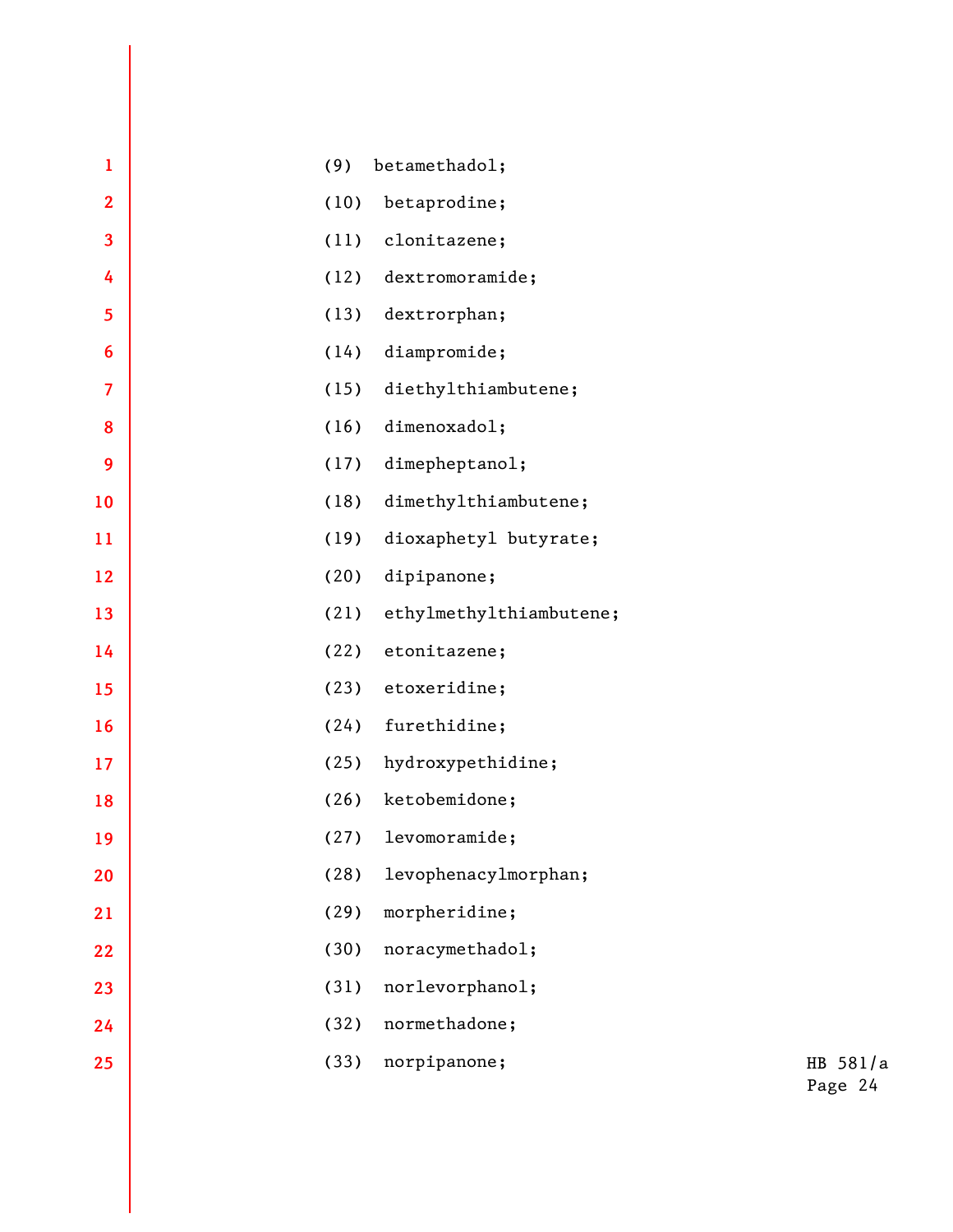| $\mathbf{1}$            | (9)  | betamethadol;           |                     |  |
|-------------------------|------|-------------------------|---------------------|--|
| $\overline{2}$          | (10) | betaprodine;            |                     |  |
| $\overline{\mathbf{3}}$ | (11) | clonitazene;            |                     |  |
| 4                       | (12) | dextromoramide;         |                     |  |
| 5                       | (13) | dextrorphan;            |                     |  |
| $6\phantom{1}6$         | (14) | diampromide;            |                     |  |
| $\overline{7}$          | (15) | diethylthiambutene;     |                     |  |
| 8                       | (16) | dimenoxadol;            |                     |  |
| 9                       | (17) | dimepheptanol;          |                     |  |
| 10                      | (18) | dimethylthiambutene;    |                     |  |
| 11                      | (19) | dioxaphetyl butyrate;   |                     |  |
| 12                      | (20) | dipipanone;             |                     |  |
| 13                      | (21) | ethylmethylthiambutene; |                     |  |
| 14                      | (22) | etonitazene;            |                     |  |
| 15                      | (23) | etoxeridine;            |                     |  |
| 16                      | (24) | furethidine;            |                     |  |
| 17                      | (25) | hydroxypethidine;       |                     |  |
| 18                      | (26) | ketobemidone;           |                     |  |
| 19                      | (27) | levomoramide;           |                     |  |
| 20                      | (28) | levophenacylmorphan;    |                     |  |
| 21                      | (29) | morpheridine;           |                     |  |
| 22                      | (30) | noracymethadol;         |                     |  |
| 23                      | (31) | norlevorphanol;         |                     |  |
| 24                      | (32) | normethadone;           |                     |  |
| 25                      | (33) | norpipanone;            | HB 581/a<br>Page 24 |  |
|                         |      |                         |                     |  |
|                         |      |                         |                     |  |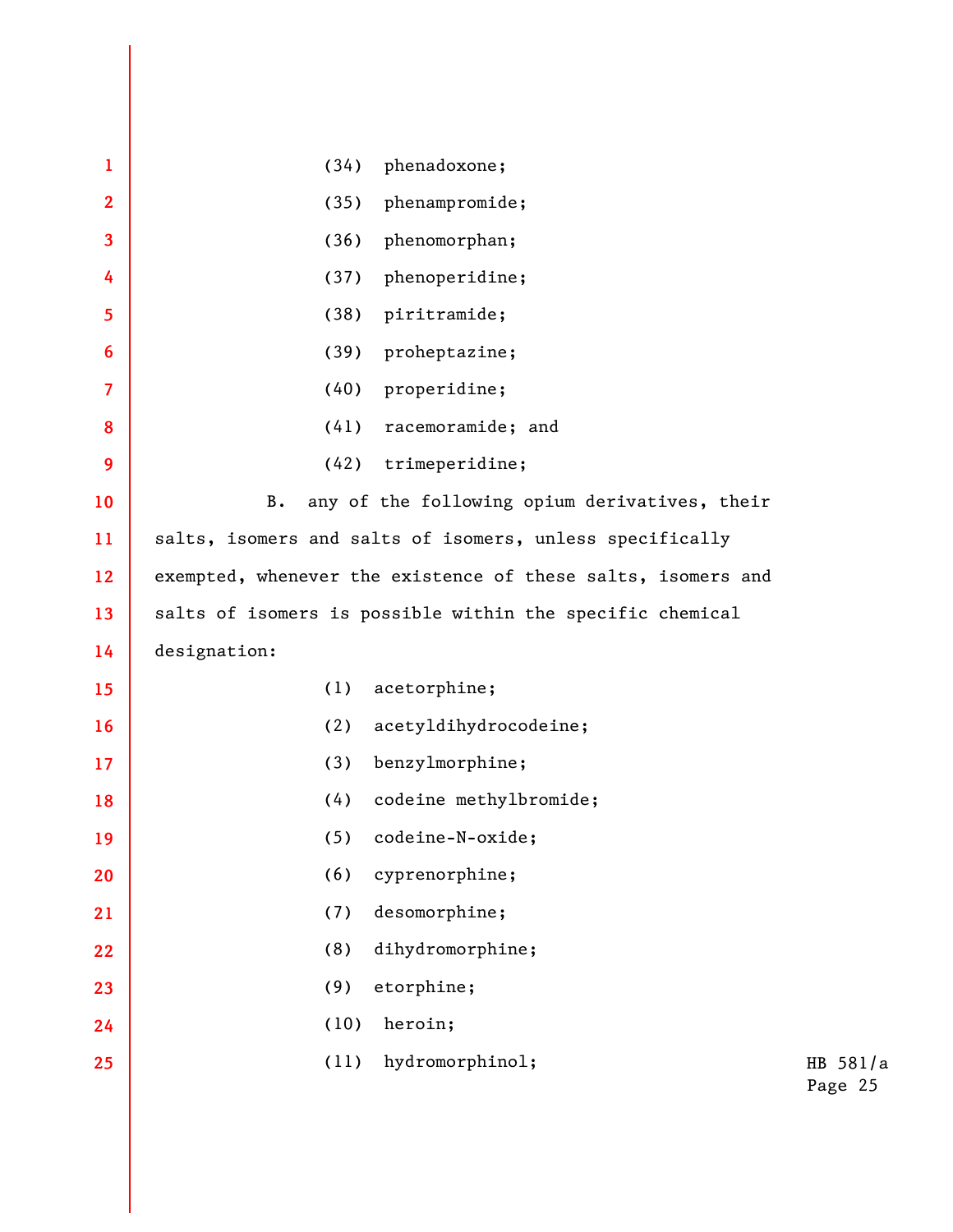| $\mathbf{1}$   | (34)         | phenadoxone;                                                 |                     |
|----------------|--------------|--------------------------------------------------------------|---------------------|
| $\overline{2}$ | (35)         | phenampromide;                                               |                     |
| 3              | (36)         | phenomorphan;                                                |                     |
| 4              | (37)         | phenoperidine;                                               |                     |
| 5              | (38)         | piritramide;                                                 |                     |
| 6              | (39)         | proheptazine;                                                |                     |
| $\overline{7}$ | (40)         | properidine;                                                 |                     |
| 8              | (41)         | racemoramide; and                                            |                     |
| 9              | (42)         | trimeperidine;                                               |                     |
| 10             | <b>B.</b>    | any of the following opium derivatives, their                |                     |
| 11             |              | salts, isomers and salts of isomers, unless specifically     |                     |
| 12             |              | exempted, whenever the existence of these salts, isomers and |                     |
| 13             |              | salts of isomers is possible within the specific chemical    |                     |
| 14             | designation: |                                                              |                     |
| 15             | (1)          | acetorphine;                                                 |                     |
| 16             | (2)          | acetyldihydrocodeine;                                        |                     |
| 17             | (3)          | benzylmorphine;                                              |                     |
| 18             | (4)          | codeine methylbromide;                                       |                     |
| 19             | (5)          | codeine-N-oxide;                                             |                     |
| 20             | (6)          | cyprenorphine;                                               |                     |
| 21             | (7)          | desomorphine;                                                |                     |
| 22             | (8)          | dihydromorphine;                                             |                     |
| 23             | (9)          | etorphine;                                                   |                     |
| 24             | (10)         | heroin;                                                      |                     |
| 25             | (11)         | hydromorphinol;                                              | HB 581/a<br>Page 25 |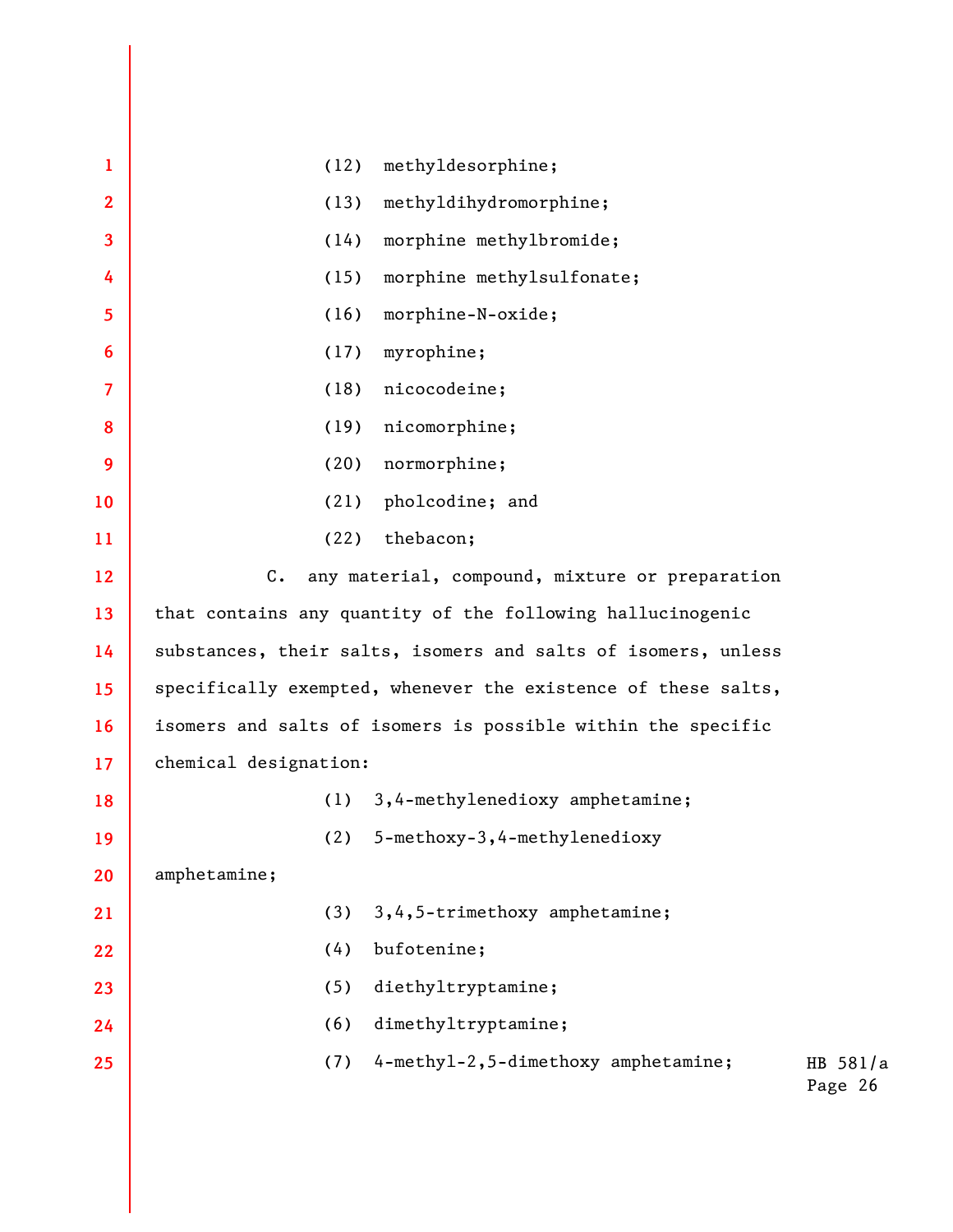| methyldesorphine;<br>(12)<br>$\mathbf{1}$<br>methyldihydromorphine;<br>$\mathbf{2}$<br>(13)<br>3<br>morphine methylbromide;<br>(14)<br>morphine methylsulfonate;<br>(15)<br>4 |          |
|-------------------------------------------------------------------------------------------------------------------------------------------------------------------------------|----------|
|                                                                                                                                                                               |          |
|                                                                                                                                                                               |          |
|                                                                                                                                                                               |          |
|                                                                                                                                                                               |          |
|                                                                                                                                                                               |          |
|                                                                                                                                                                               |          |
| (16)<br>morphine-N-oxide;<br>5                                                                                                                                                |          |
| myrophine;<br>(17)<br>6                                                                                                                                                       |          |
| (18)<br>nicocodeine;<br>$\overline{\mathcal{L}}$                                                                                                                              |          |
| (19)<br>nicomorphine;<br>8                                                                                                                                                    |          |
| (20)<br>normorphine;<br>9                                                                                                                                                     |          |
| (21)<br>pholcodine; and<br>10                                                                                                                                                 |          |
| (22)<br>thebacon;<br>11                                                                                                                                                       |          |
| $C_{\bullet}$<br>any material, compound, mixture or preparation<br>12                                                                                                         |          |
| that contains any quantity of the following hallucinogenic<br>13                                                                                                              |          |
| substances, their salts, isomers and salts of isomers, unless<br>14                                                                                                           |          |
| specifically exempted, whenever the existence of these salts,<br>15                                                                                                           |          |
| isomers and salts of isomers is possible within the specific<br>16                                                                                                            |          |
| chemical designation:<br>17                                                                                                                                                   |          |
| 3,4-methylenedioxy amphetamine;<br>(1)<br>18                                                                                                                                  |          |
| (2)<br>5-methoxy-3, 4-methylenedioxy<br>19                                                                                                                                    |          |
| amphetamine;<br>20                                                                                                                                                            |          |
| 3, 4, 5-trimethoxy amphetamine;<br>(3)<br>21                                                                                                                                  |          |
| (4)<br>bufotenine;<br>22                                                                                                                                                      |          |
| (5)<br>diethyltryptamine;<br>23                                                                                                                                               |          |
| (6)<br>dimethyltryptamine;<br>24                                                                                                                                              |          |
| 4-methyl-2,5-dimethoxy amphetamine;<br>(7)<br>25<br>Page 26                                                                                                                   | HB 581/a |
|                                                                                                                                                                               |          |
|                                                                                                                                                                               |          |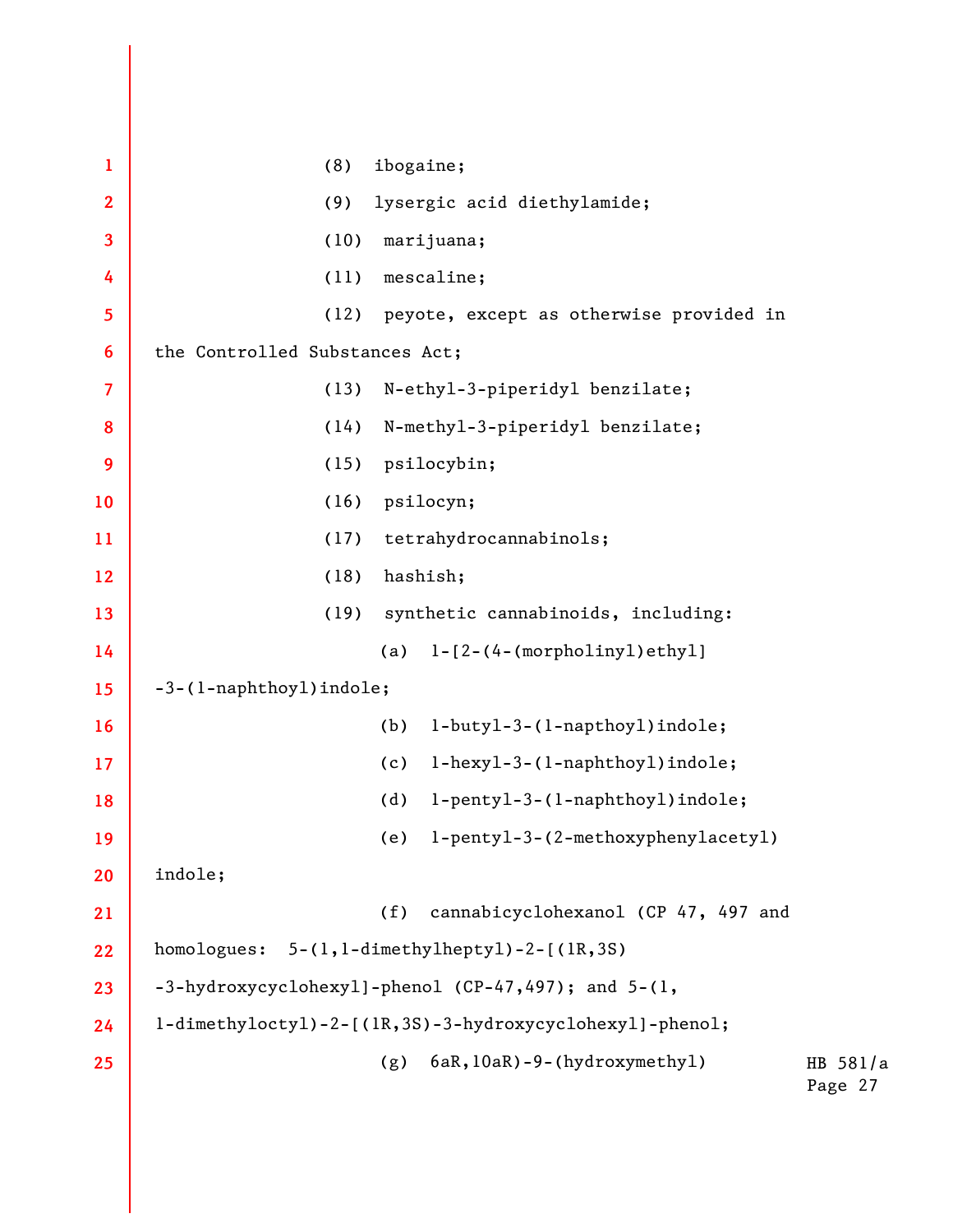HB 581/a Page 27 **1 2 3 4 5 6 7 8 9 10 11 12 13 14 15 16 17 18 19 20 21 22 23 24 25**  (8) ibogaine; (9) lysergic acid diethylamide; (10) marijuana; (11) mescaline; (12) peyote, except as otherwise provided in the Controlled Substances Act; (13) N-ethyl-3-piperidyl benzilate; (14) N-methyl-3-piperidyl benzilate; (15) psilocybin; (16) psilocyn; (17) tetrahydrocannabinols; (18) hashish; (19) synthetic cannabinoids, including: (a) 1-[2-(4-(morpholinyl)ethyl] -3-(1-naphthoyl)indole; (b) 1-butyl-3-(1-napthoyl)indole; (c) 1-hexyl-3-(1-naphthoyl)indole; (d) 1-pentyl-3-(1-naphthoyl)indole; (e) 1-pentyl-3-(2-methoxyphenylacetyl) indole; (f) cannabicyclohexanol (CP 47, 497 and homologues: 5-(1,1-dimethylheptyl)-2-[(1R,3S) -3-hydroxycyclohexyl]-phenol (CP-47,497); and 5-(1, 1-dimethyloctyl)-2-[(1R,3S)-3-hydroxycyclohexyl]-phenol; (g) 6aR,10aR)-9-(hydroxymethyl)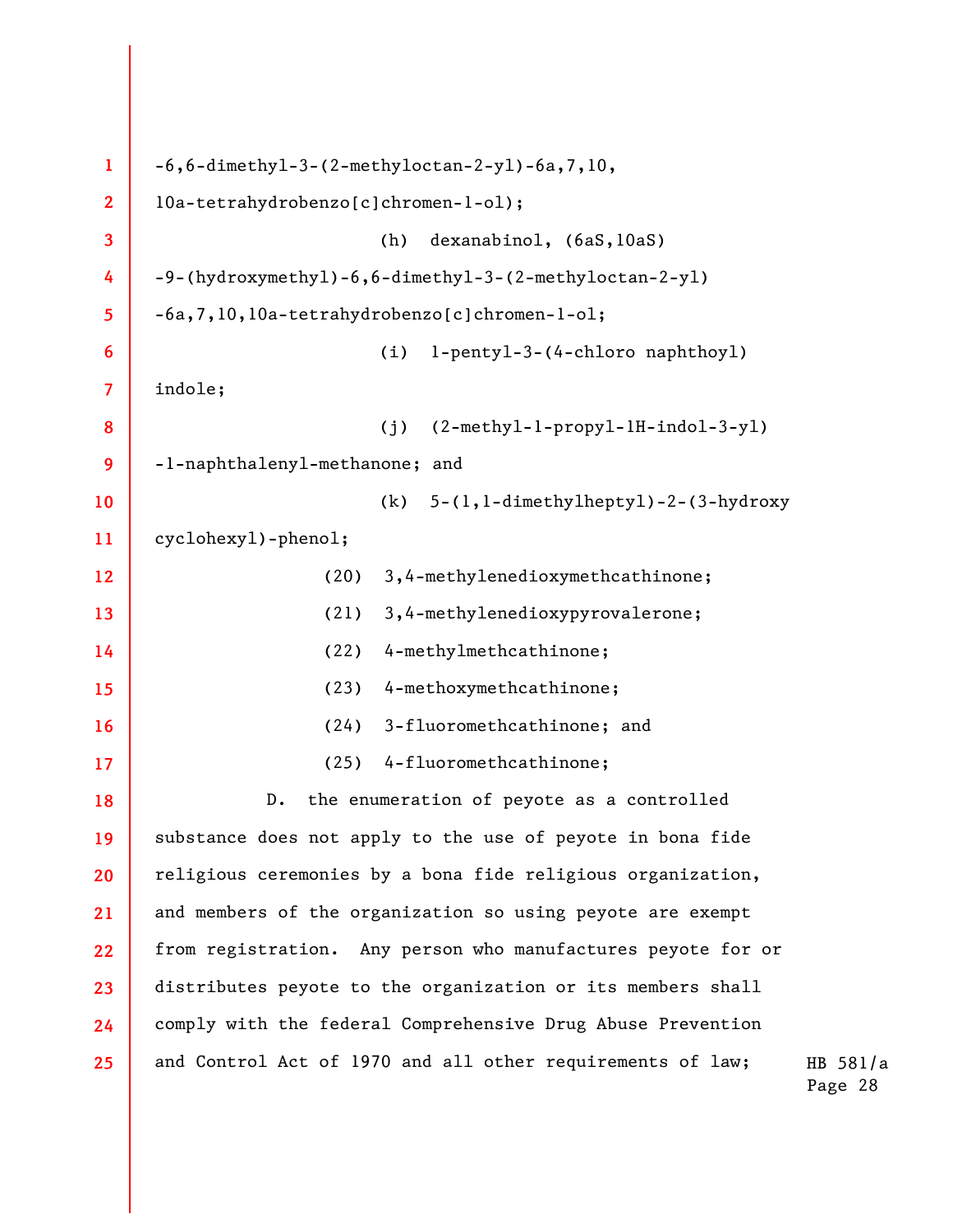| $\mathbf{1}$            | $-6, 6$ -dimethyl-3-(2-methyloctan-2-yl)-6a,7,10,                |  |
|-------------------------|------------------------------------------------------------------|--|
| $\overline{2}$          | l0a-tetrahydrobenzo[c]chromen-l-ol);                             |  |
| 3                       | dexanabinol, (6aS, 10aS)<br>(h)                                  |  |
| 4                       | -9-(hydroxymethyl)-6,6-dimethyl-3-(2-methyloctan-2-yl)           |  |
| 5                       | -6a, 7, 10, 10a-tetrahydrobenzo [c] chromen-1-o1;                |  |
| 6                       | l-pentyl-3-(4-chloro naphthoyl)<br>(i)                           |  |
| $\overline{\mathbf{7}}$ | indole;                                                          |  |
| 8                       | $(2-methyl-1-propy1-1H-indol-3-y1)$<br>(j)                       |  |
| 9                       | -1-naphthalenyl-methanone; and                                   |  |
| 10                      | $5-(1, 1$ -dimethylheptyl)-2-(3-hydroxy<br>(k)                   |  |
| 11                      | cyclohexy1)-pheno1;                                              |  |
| 12                      | 3,4-methylenedioxymethcathinone;<br>(20)                         |  |
| 13                      | 3,4-methylenedioxypyrovalerone;<br>(21)                          |  |
| 14                      | 4-methylmethcathinone;<br>(22)                                   |  |
| 15                      | 4-methoxymethcathinone;<br>(23)                                  |  |
| 16                      | 3-fluoromethcathinone; and<br>(24)                               |  |
| 17                      | 4-fluoromethcathinone;<br>(25)                                   |  |
| 18                      | the enumeration of peyote as a controlled<br>$D$ .               |  |
| 19                      | substance does not apply to the use of peyote in bona fide       |  |
| 20                      | religious ceremonies by a bona fide religious organization,      |  |
| 21                      | and members of the organization so using peyote are exempt       |  |
| 22                      | from registration. Any person who manufactures peyote for or     |  |
| 23                      | distributes peyote to the organization or its members shall      |  |
| 24                      | comply with the federal Comprehensive Drug Abuse Prevention      |  |
| 25                      | and Control Act of 1970 and all other requirements of law;<br>HI |  |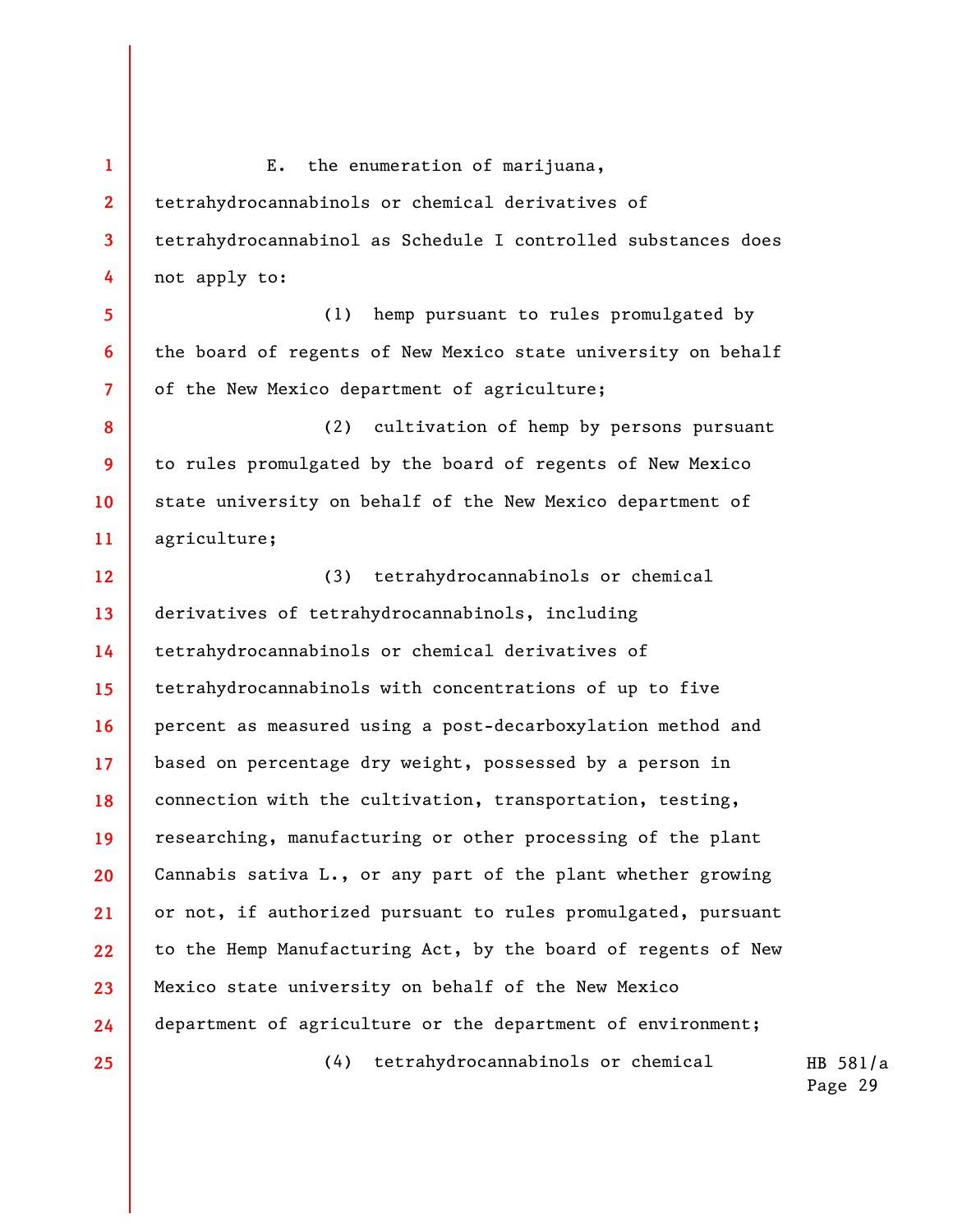**1 2 3 4 5 6 7 8 9 10 11 12 13 14 15 16 17 18 19**  E. the enumeration of marijuana, tetrahydrocannabinols or chemical derivatives of tetrahydrocannabinol as Schedule I controlled substances does not apply to: (1) hemp pursuant to rules promulgated by the board of regents of New Mexico state university on behalf of the New Mexico department of agriculture; (2) cultivation of hemp by persons pursuant to rules promulgated by the board of regents of New Mexico state university on behalf of the New Mexico department of agriculture; (3) tetrahydrocannabinols or chemical derivatives of tetrahydrocannabinols, including tetrahydrocannabinols or chemical derivatives of tetrahydrocannabinols with concentrations of up to five percent as measured using a post-decarboxylation method and based on percentage dry weight, possessed by a person in connection with the cultivation, transportation, testing, researching, manufacturing or other processing of the plant

**22**  Cannabis sativa L., or any part of the plant whether growing or not, if authorized pursuant to rules promulgated, pursuant to the Hemp Manufacturing Act, by the board of regents of New Mexico state university on behalf of the New Mexico department of agriculture or the department of environment;

**20** 

**21** 

**23** 

**24** 

**25** 

(4) tetrahydrocannabinols or chemical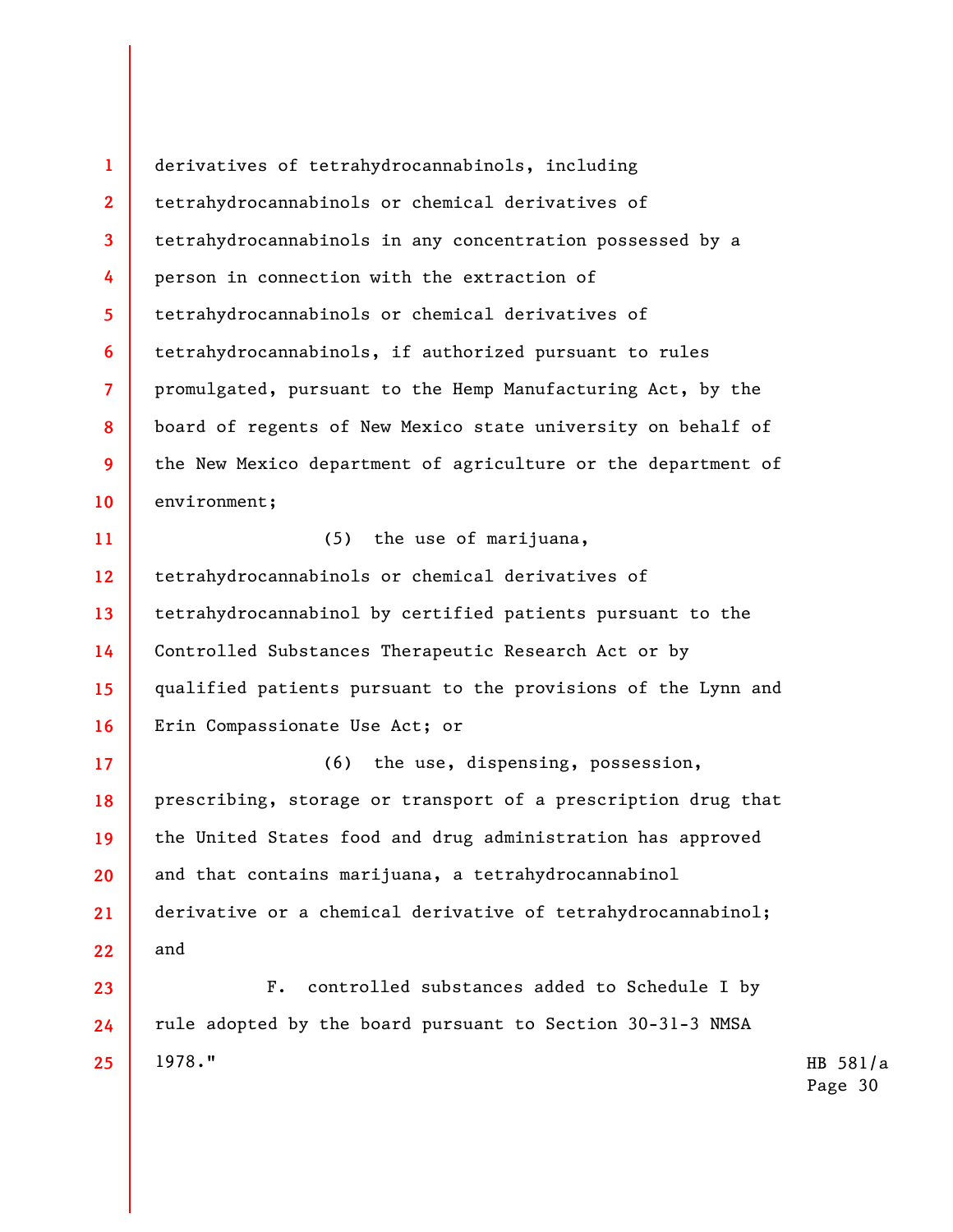**1 2 3 4 5 6 7 8 9 10**  derivatives of tetrahydrocannabinols, including tetrahydrocannabinols or chemical derivatives of tetrahydrocannabinols in any concentration possessed by a person in connection with the extraction of tetrahydrocannabinols or chemical derivatives of tetrahydrocannabinols, if authorized pursuant to rules promulgated, pursuant to the Hemp Manufacturing Act, by the board of regents of New Mexico state university on behalf of the New Mexico department of agriculture or the department of environment;

(5) the use of marijuana,

**11** 

**12 13 14 15 16**  tetrahydrocannabinols or chemical derivatives of tetrahydrocannabinol by certified patients pursuant to the Controlled Substances Therapeutic Research Act or by qualified patients pursuant to the provisions of the Lynn and Erin Compassionate Use Act; or

**17 18 19 20 21 22**  (6) the use, dispensing, possession, prescribing, storage or transport of a prescription drug that the United States food and drug administration has approved and that contains marijuana, a tetrahydrocannabinol derivative or a chemical derivative of tetrahydrocannabinol; and

**23 24 25**  F. controlled substances added to Schedule I by rule adopted by the board pursuant to Section 30-31-3 NMSA 1978."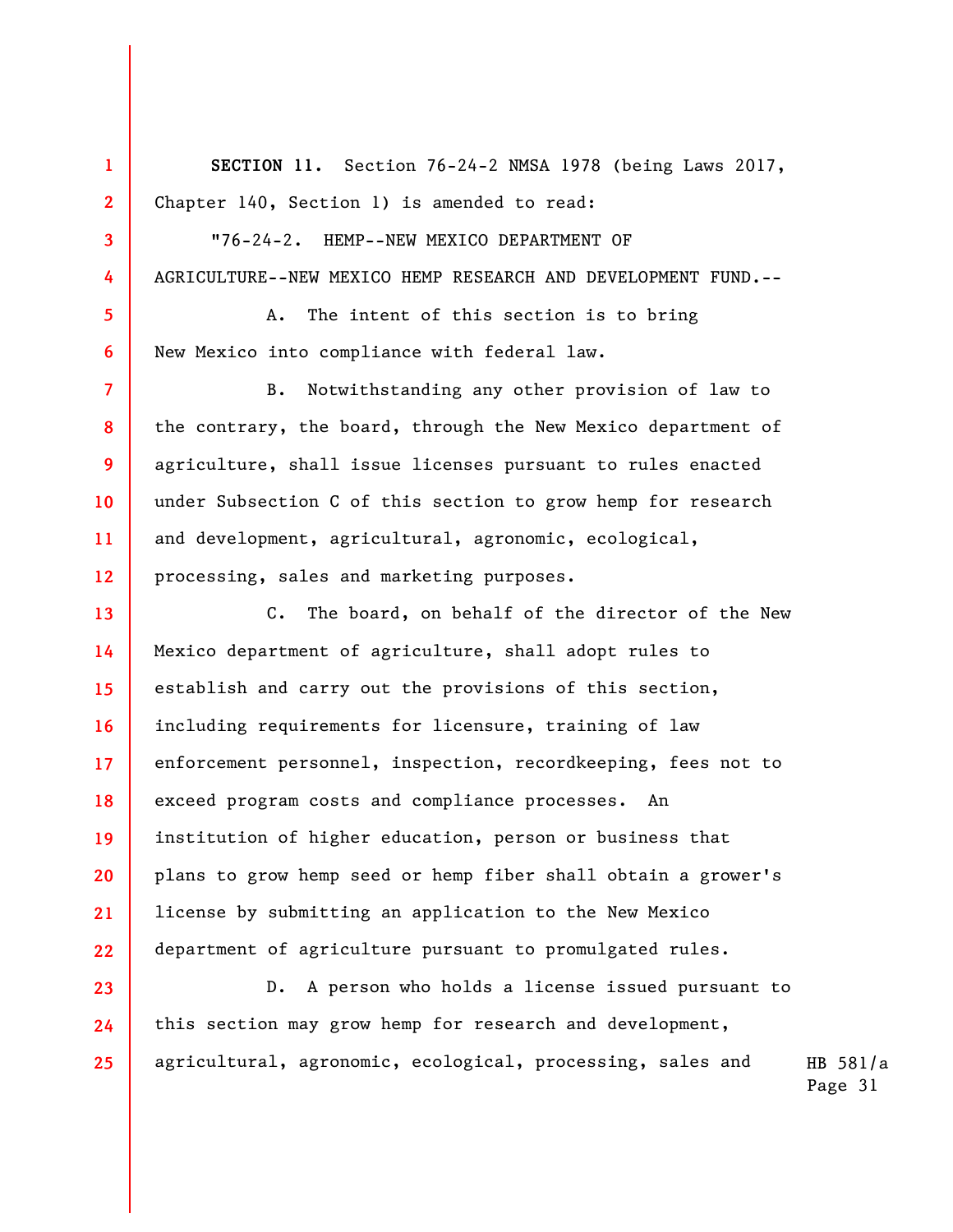**SECTION 11.** Section 76-24-2 NMSA 1978 (being Laws 2017, Chapter 140, Section 1) is amended to read:

"76-24-2. HEMP--NEW MEXICO DEPARTMENT OF AGRICULTURE--NEW MEXICO HEMP RESEARCH AND DEVELOPMENT FUND.--

A. The intent of this section is to bring New Mexico into compliance with federal law.

**1** 

**2** 

**3** 

**4** 

**5** 

**6** 

**7** 

**8** 

**9** 

**10** 

**11** 

**12** 

**23** 

**24** 

**25** 

B. Notwithstanding any other provision of law to the contrary, the board, through the New Mexico department of agriculture, shall issue licenses pursuant to rules enacted under Subsection C of this section to grow hemp for research and development, agricultural, agronomic, ecological, processing, sales and marketing purposes.

**13 14 15 16 17 18 19 20 21 22**  C. The board, on behalf of the director of the New Mexico department of agriculture, shall adopt rules to establish and carry out the provisions of this section, including requirements for licensure, training of law enforcement personnel, inspection, recordkeeping, fees not to exceed program costs and compliance processes. An institution of higher education, person or business that plans to grow hemp seed or hemp fiber shall obtain a grower's license by submitting an application to the New Mexico department of agriculture pursuant to promulgated rules.

D. A person who holds a license issued pursuant to this section may grow hemp for research and development, agricultural, agronomic, ecological, processing, sales and